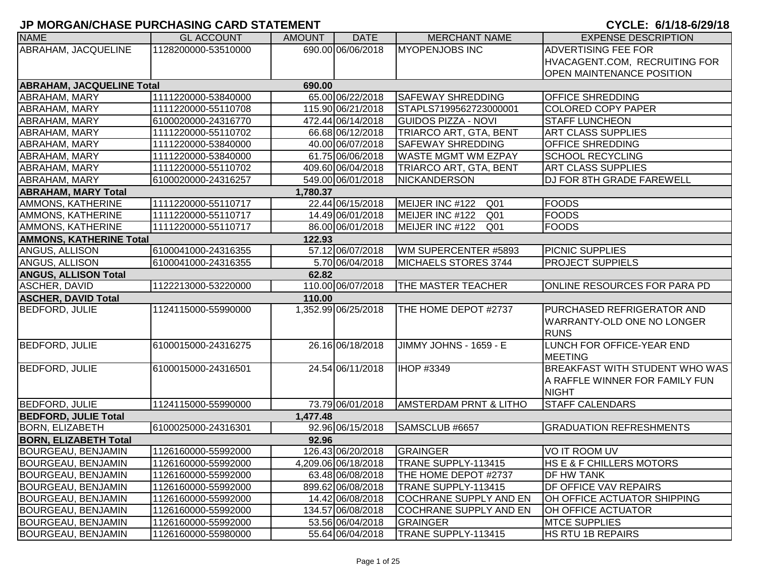| <b>NAME</b>                              | <b>GL ACCOUNT</b>   | <b>AMOUNT</b> | <b>DATE</b>         | <b>MERCHANT NAME</b>               | <b>EXPENSE DESCRIPTION</b>            |  |  |  |
|------------------------------------------|---------------------|---------------|---------------------|------------------------------------|---------------------------------------|--|--|--|
| ABRAHAM, JACQUELINE                      | 1128200000-53510000 |               | 690.00 06/06/2018   | <b>MYOPENJOBS INC</b>              | <b>ADVERTISING FEE FOR</b>            |  |  |  |
|                                          |                     |               |                     |                                    | HVACAGENT.COM, RECRUITING FOR         |  |  |  |
|                                          |                     |               |                     |                                    | <b>OPEN MAINTENANCE POSITION</b>      |  |  |  |
| <b>ABRAHAM, JACQUELINE Total</b>         |                     | 690.00        |                     |                                    |                                       |  |  |  |
| ABRAHAM, MARY                            | 1111220000-53840000 |               | 65.00 06/22/2018    | <b>SAFEWAY SHREDDING</b>           | <b>OFFICE SHREDDING</b>               |  |  |  |
| ABRAHAM, MARY                            | 1111220000-55110708 |               | 115.90 06/21/2018   | STAPLS7199562723000001             | <b>COLORED COPY PAPER</b>             |  |  |  |
| ABRAHAM, MARY                            | 6100020000-24316770 |               | 472.44 06/14/2018   | <b>GUIDOS PIZZA - NOVI</b>         | <b>STAFF LUNCHEON</b>                 |  |  |  |
| ABRAHAM, MARY                            | 1111220000-55110702 |               | 66.68 06/12/2018    | TRIARCO ART, GTA, BENT             | ART CLASS SUPPLIES                    |  |  |  |
| ABRAHAM, MARY                            | 1111220000-53840000 |               | 40.00 06/07/2018    | <b>SAFEWAY SHREDDING</b>           | OFFICE SHREDDING                      |  |  |  |
| ABRAHAM, MARY                            | 1111220000-53840000 |               | 61.75 06/06/2018    | <b>WASTE MGMT WM EZPAY</b>         | <b>SCHOOL RECYCLING</b>               |  |  |  |
| ABRAHAM, MARY                            | 1111220000-55110702 |               | 409.60 06/04/2018   | TRIARCO ART, GTA, BENT             | <b>ART CLASS SUPPLIES</b>             |  |  |  |
| ABRAHAM, MARY                            | 6100020000-24316257 |               | 549.00 06/01/2018   | NICKANDERSON                       | DJ FOR 8TH GRADE FAREWELL             |  |  |  |
| <b>ABRAHAM, MARY Total</b>               |                     | 1,780.37      |                     |                                    |                                       |  |  |  |
| AMMONS, KATHERINE                        | 1111220000-55110717 |               | 22.44 06/15/2018    | MEIJER INC #122<br>Q <sub>01</sub> | <b>FOODS</b>                          |  |  |  |
| AMMONS, KATHERINE                        | 1111220000-55110717 |               | 14.49 06/01/2018    | MEIJER INC #122<br>Q <sub>01</sub> | <b>FOODS</b>                          |  |  |  |
| AMMONS, KATHERINE                        | 1111220000-55110717 |               | 86.00 06/01/2018    | MEIJER INC #122<br>Q <sub>01</sub> | <b>FOODS</b>                          |  |  |  |
| <b>AMMONS, KATHERINE Total</b><br>122.93 |                     |               |                     |                                    |                                       |  |  |  |
| ANGUS, ALLISON                           | 6100041000-24316355 |               | 57.12 06/07/2018    | WM SUPERCENTER #5893               | <b>PICNIC SUPPLIES</b>                |  |  |  |
| ANGUS, ALLISON                           | 6100041000-24316355 |               | 5.70 06/04/2018     | MICHAELS STORES 3744               | <b>PROJECT SUPPIELS</b>               |  |  |  |
| <b>ANGUS, ALLISON Total</b>              |                     | 62.82         |                     |                                    |                                       |  |  |  |
| ASCHER, DAVID                            | 1122213000-53220000 |               | 110.00 06/07/2018   | THE MASTER TEACHER                 | ONLINE RESOURCES FOR PARA PD          |  |  |  |
| <b>ASCHER, DAVID Total</b>               |                     | 110.00        |                     |                                    |                                       |  |  |  |
| <b>BEDFORD, JULIE</b>                    | 1124115000-55990000 |               | 1,352.99 06/25/2018 | THE HOME DEPOT #2737               | PURCHASED REFRIGERATOR AND            |  |  |  |
|                                          |                     |               |                     |                                    | WARRANTY-OLD ONE NO LONGER            |  |  |  |
|                                          |                     |               |                     |                                    | <b>RUNS</b>                           |  |  |  |
| <b>BEDFORD, JULIE</b>                    | 6100015000-24316275 |               | 26.16 06/18/2018    | JIMMY JOHNS - 1659 - E             | LUNCH FOR OFFICE-YEAR END             |  |  |  |
|                                          |                     |               |                     |                                    | <b>MEETING</b>                        |  |  |  |
| <b>BEDFORD, JULIE</b>                    | 6100015000-24316501 |               | 24.54 06/11/2018    | IHOP #3349                         | <b>BREAKFAST WITH STUDENT WHO WAS</b> |  |  |  |
|                                          |                     |               |                     |                                    | A RAFFLE WINNER FOR FAMILY FUN        |  |  |  |
|                                          |                     |               |                     |                                    | <b>NIGHT</b>                          |  |  |  |
| <b>BEDFORD, JULIE</b>                    | 1124115000-55990000 |               | 73.79 06/01/2018    | <b>AMSTERDAM PRNT &amp; LITHO</b>  | <b>STAFF CALENDARS</b>                |  |  |  |
| <b>BEDFORD, JULIE Total</b>              |                     | 1,477.48      |                     |                                    |                                       |  |  |  |
| <b>BORN, ELIZABETH</b>                   | 6100025000-24316301 |               | 92.96 06/15/2018    | SAMSCLUB #6657                     | <b>GRADUATION REFRESHMENTS</b>        |  |  |  |
| <b>BORN, ELIZABETH Total</b>             |                     | 92.96         |                     |                                    |                                       |  |  |  |
| <b>BOURGEAU, BENJAMIN</b>                | 1126160000-55992000 |               | 126.43 06/20/2018   | GRAINGER                           | VO IT ROOM UV                         |  |  |  |
| <b>BOURGEAU, BENJAMIN</b>                | 1126160000-55992000 |               | 4,209.06 06/18/2018 | TRANE SUPPLY-113415                | <b>HS E &amp; F CHILLERS MOTORS</b>   |  |  |  |
| BOURGEAU, BENJAMIN                       | 1126160000-55992000 |               | 63.48 06/08/2018    | THE HOME DEPOT #2737               | <b>DF HW TANK</b>                     |  |  |  |
| <b>BOURGEAU, BENJAMIN</b>                | 1126160000-55992000 |               | 899.62 06/08/2018   | TRANE SUPPLY-113415                | DF OFFICE VAV REPAIRS                 |  |  |  |
| <b>BOURGEAU, BENJAMIN</b>                | 1126160000-55992000 |               | 14.42 06/08/2018    | <b>COCHRANE SUPPLY AND EN</b>      | OH OFFICE ACTUATOR SHIPPING           |  |  |  |
| <b>BOURGEAU, BENJAMIN</b>                | 1126160000-55992000 |               | 134.57 06/08/2018   | <b>COCHRANE SUPPLY AND EN</b>      | OH OFFICE ACTUATOR                    |  |  |  |
| <b>BOURGEAU, BENJAMIN</b>                | 1126160000-55992000 |               | 53.56 06/04/2018    | <b>GRAINGER</b>                    | <b>MTCE SUPPLIES</b>                  |  |  |  |
| <b>BOURGEAU, BENJAMIN</b>                | 1126160000-55980000 |               | 55.64 06/04/2018    | TRANE SUPPLY-113415                | <b>HS RTU 1B REPAIRS</b>              |  |  |  |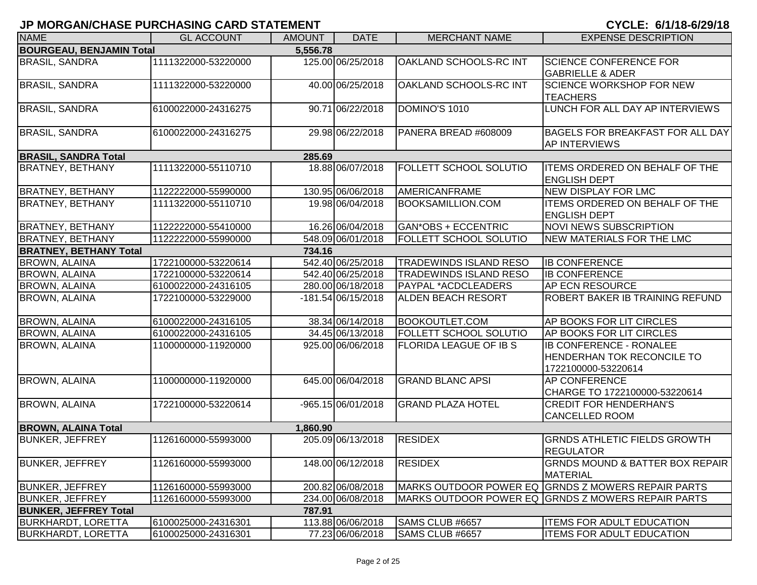| <b>NAME</b>                     | <b>GL ACCOUNT</b>   | <b>AMOUNT</b> | <b>DATE</b>          | <b>MERCHANT NAME</b>          | <b>EXPENSE DESCRIPTION</b>                                                                 |
|---------------------------------|---------------------|---------------|----------------------|-------------------------------|--------------------------------------------------------------------------------------------|
| <b>BOURGEAU, BENJAMIN Total</b> |                     | 5,556.78      |                      |                               |                                                                                            |
| <b>BRASIL, SANDRA</b>           | 1111322000-53220000 |               | 125.00 06/25/2018    | OAKLAND SCHOOLS-RC INT        | <b>SCIENCE CONFERENCE FOR</b>                                                              |
|                                 |                     |               |                      |                               | <b>GABRIELLE &amp; ADER</b>                                                                |
| <b>BRASIL, SANDRA</b>           | 1111322000-53220000 |               | 40.00 06/25/2018     | OAKLAND SCHOOLS-RC INT        | <b>SCIENCE WORKSHOP FOR NEW</b>                                                            |
|                                 |                     |               |                      |                               | <b>TEACHERS</b>                                                                            |
| <b>BRASIL, SANDRA</b>           | 6100022000-24316275 |               | 90.71 06/22/2018     | DOMINO'S 1010                 | LUNCH FOR ALL DAY AP INTERVIEWS                                                            |
| <b>BRASIL, SANDRA</b>           | 6100022000-24316275 |               | 29.98 06/22/2018     | PANERA BREAD #608009          | BAGELS FOR BREAKFAST FOR ALL DAY                                                           |
|                                 |                     |               |                      |                               | <b>AP INTERVIEWS</b>                                                                       |
| <b>BRASIL, SANDRA Total</b>     |                     | 285.69        |                      |                               |                                                                                            |
| <b>BRATNEY, BETHANY</b>         | 1111322000-55110710 |               | 18.88 06/07/2018     | FOLLETT SCHOOL SOLUTIO        | <b>ITEMS ORDERED ON BEHALF OF THE</b><br><b>ENGLISH DEPT</b>                               |
| <b>BRATNEY, BETHANY</b>         | 1122222000-55990000 |               | 130.95 06/06/2018    | <b>AMERICANFRAME</b>          | NEW DISPLAY FOR LMC                                                                        |
| <b>BRATNEY, BETHANY</b>         | 1111322000-55110710 |               | 19.98 06/04/2018     | <b>BOOKSAMILLION.COM</b>      | <b>ITEMS ORDERED ON BEHALF OF THE</b><br><b>ENGLISH DEPT</b>                               |
| <b>BRATNEY, BETHANY</b>         | 1122222000-55410000 |               | 16.26 06/04/2018     | <b>GAN*OBS + ECCENTRIC</b>    | <b>NOVI NEWS SUBSCRIPTION</b>                                                              |
| <b>BRATNEY, BETHANY</b>         | 1122222000-55990000 |               | 548.09 06/01/2018    | <b>FOLLETT SCHOOL SOLUTIO</b> | NEW MATERIALS FOR THE LMC                                                                  |
| <b>BRATNEY, BETHANY Total</b>   |                     | 734.16        |                      |                               |                                                                                            |
| <b>BROWN, ALAINA</b>            | 1722100000-53220614 |               | 542.40 06/25/2018    | <b>TRADEWINDS ISLAND RESO</b> | <b>IB CONFERENCE</b>                                                                       |
| <b>BROWN, ALAINA</b>            | 1722100000-53220614 |               | 542.40 06/25/2018    | <b>TRADEWINDS ISLAND RESO</b> | <b>IB CONFERENCE</b>                                                                       |
| <b>BROWN, ALAINA</b>            | 6100022000-24316105 |               | 280.00 06/18/2018    | <b>PAYPAL *ACDCLEADERS</b>    | <b>AP ECN RESOURCE</b>                                                                     |
| <b>BROWN, ALAINA</b>            | 1722100000-53229000 |               | $-181.54 06/15/2018$ | <b>ALDEN BEACH RESORT</b>     | <b>ROBERT BAKER IB TRAINING REFUND</b>                                                     |
| <b>BROWN, ALAINA</b>            | 6100022000-24316105 |               | 38.34 06/14/2018     | <b>BOOKOUTLET.COM</b>         | AP BOOKS FOR LIT CIRCLES                                                                   |
| <b>BROWN, ALAINA</b>            | 6100022000-24316105 |               | 34.45 06/13/2018     | <b>FOLLETT SCHOOL SOLUTIO</b> | AP BOOKS FOR LIT CIRCLES                                                                   |
| <b>BROWN, ALAINA</b>            | 1100000000-11920000 |               | 925.00 06/06/2018    | <b>FLORIDA LEAGUE OF IB S</b> | <b>IB CONFERENCE - RONALEE</b><br><b>HENDERHAN TOK RECONCILE TO</b><br>1722100000-53220614 |
| <b>BROWN, ALAINA</b>            | 1100000000-11920000 |               | 645.00 06/04/2018    | <b>GRAND BLANC APSI</b>       | <b>AP CONFERENCE</b>                                                                       |
|                                 |                     |               |                      |                               | CHARGE TO 1722100000-53220614                                                              |
| <b>BROWN, ALAINA</b>            | 1722100000-53220614 |               | $-965.15 06/01/2018$ | <b>GRAND PLAZA HOTEL</b>      | <b>CREDIT FOR HENDERHAN'S</b><br><b>CANCELLED ROOM</b>                                     |
| <b>BROWN, ALAINA Total</b>      |                     | 1,860.90      |                      |                               |                                                                                            |
| <b>BUNKER, JEFFREY</b>          | 1126160000-55993000 |               | 205.09 06/13/2018    | <b>RESIDEX</b>                | <b>GRNDS ATHLETIC FIELDS GROWTH</b>                                                        |
| <b>BUNKER, JEFFREY</b>          | 1126160000-55993000 |               | 148.00 06/12/2018    | <b>RESIDEX</b>                | <b>REGULATOR</b><br><b>GRNDS MOUND &amp; BATTER BOX REPAIR</b><br>MATERIAL                 |
| <b>BUNKER, JEFFREY</b>          | 1126160000-55993000 |               | 200.82 06/08/2018    |                               | MARKS OUTDOOR POWER EQ GRNDS Z MOWERS REPAIR PARTS                                         |
| <b>BUNKER, JEFFREY</b>          | 1126160000-55993000 |               | 234.00 06/08/2018    |                               | MARKS OUTDOOR POWER EQ GRNDS Z MOWERS REPAIR PARTS                                         |
| <b>BUNKER, JEFFREY Total</b>    |                     | 787.91        |                      |                               |                                                                                            |
| <b>BURKHARDT, LORETTA</b>       | 6100025000-24316301 |               | 113.88 06/06/2018    | SAMS CLUB #6657               | <b>ITEMS FOR ADULT EDUCATION</b>                                                           |
| <b>BURKHARDT, LORETTA</b>       | 6100025000-24316301 |               | 77.23 06/06/2018     | SAMS CLUB #6657               | <b>ITEMS FOR ADULT EDUCATION</b>                                                           |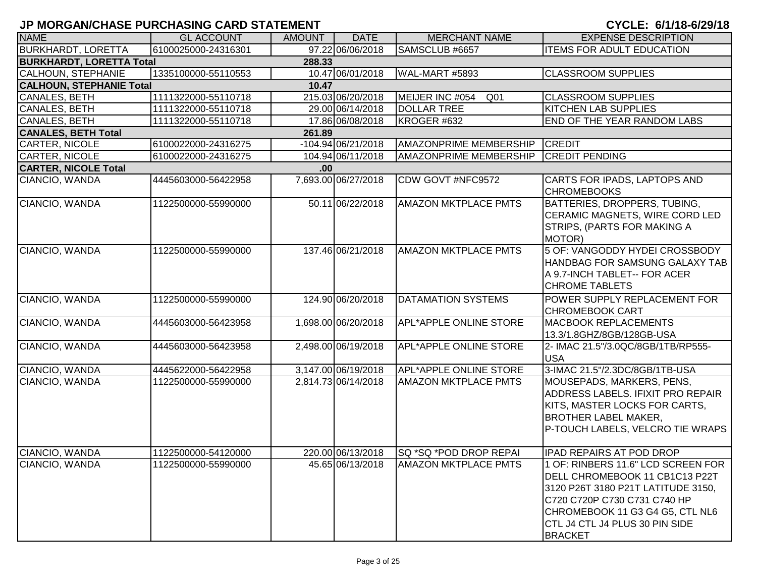| <b>NAME</b>                     | <b>GL ACCOUNT</b>   | AMOUNT | <b>DATE</b>         | <b>MERCHANT NAME</b>               | <b>EXPENSE DESCRIPTION</b>                                                                                                                                                                                                        |
|---------------------------------|---------------------|--------|---------------------|------------------------------------|-----------------------------------------------------------------------------------------------------------------------------------------------------------------------------------------------------------------------------------|
| <b>BURKHARDT, LORETTA</b>       | 6100025000-24316301 |        | 97.22 06/06/2018    | SAMSCLUB #6657                     | <b>ITEMS FOR ADULT EDUCATION</b>                                                                                                                                                                                                  |
| <b>BURKHARDT, LORETTA Total</b> |                     | 288.33 |                     |                                    |                                                                                                                                                                                                                                   |
| <b>CALHOUN, STEPHANIE</b>       | 1335100000-55110553 |        | 10.47 06/01/2018    | WAL-MART #5893                     | <b>CLASSROOM SUPPLIES</b>                                                                                                                                                                                                         |
| <b>CALHOUN, STEPHANIE Total</b> |                     | 10.47  |                     |                                    |                                                                                                                                                                                                                                   |
| <b>CANALES, BETH</b>            | 1111322000-55110718 |        | 215.03 06/20/2018   | MEIJER INC #054<br>Q <sub>01</sub> | <b>CLASSROOM SUPPLIES</b>                                                                                                                                                                                                         |
| <b>CANALES, BETH</b>            | 1111322000-55110718 |        | 29.00 06/14/2018    | <b>DOLLAR TREE</b>                 | <b>KITCHEN LAB SUPPLIES</b>                                                                                                                                                                                                       |
| <b>CANALES, BETH</b>            | 1111322000-55110718 |        | 17.86 06/08/2018    | KROGER #632                        | <b>END OF THE YEAR RANDOM LABS</b>                                                                                                                                                                                                |
| <b>CANALES, BETH Total</b>      |                     | 261.89 |                     |                                    |                                                                                                                                                                                                                                   |
| <b>CARTER, NICOLE</b>           | 6100022000-24316275 |        | -104.94 06/21/2018  | <b>AMAZONPRIME MEMBERSHIP</b>      | <b>CREDIT</b>                                                                                                                                                                                                                     |
| CARTER, NICOLE                  | 6100022000-24316275 |        | 104.94 06/11/2018   | <b>AMAZONPRIME MEMBERSHIP</b>      | <b>CREDIT PENDING</b>                                                                                                                                                                                                             |
| <b>CARTER, NICOLE Total</b>     |                     | .00.   |                     |                                    |                                                                                                                                                                                                                                   |
| CIANCIO, WANDA                  | 4445603000-56422958 |        | 7,693.00 06/27/2018 | CDW GOVT #NFC9572                  | CARTS FOR IPADS, LAPTOPS AND<br><b>CHROMEBOOKS</b>                                                                                                                                                                                |
| CIANCIO, WANDA                  | 1122500000-55990000 |        | 50.11 06/22/2018    | <b>AMAZON MKTPLACE PMTS</b>        | BATTERIES, DROPPERS, TUBING,<br><b>CERAMIC MAGNETS, WIRE CORD LED</b><br>STRIPS, (PARTS FOR MAKING A<br>MOTOR)                                                                                                                    |
| CIANCIO, WANDA                  | 1122500000-55990000 |        | 137.46 06/21/2018   | <b>AMAZON MKTPLACE PMTS</b>        | 5 OF: VANGODDY HYDEI CROSSBODY<br>HANDBAG FOR SAMSUNG GALAXY TAB<br>A 9.7-INCH TABLET-- FOR ACER<br><b>CHROME TABLETS</b>                                                                                                         |
| CIANCIO, WANDA                  | 1122500000-55990000 |        | 124.90 06/20/2018   | <b>DATAMATION SYSTEMS</b>          | POWER SUPPLY REPLACEMENT FOR<br>CHROMEBOOK CART                                                                                                                                                                                   |
| CIANCIO, WANDA                  | 4445603000-56423958 |        | 1,698.00 06/20/2018 | <b>APL*APPLE ONLINE STORE</b>      | <b>MACBOOK REPLACEMENTS</b><br>13.3/1.8GHZ/8GB/128GB-USA                                                                                                                                                                          |
| CIANCIO, WANDA                  | 4445603000-56423958 |        | 2,498.00 06/19/2018 | <b>APL*APPLE ONLINE STORE</b>      | 2- IMAC 21.5"/3.0QC/8GB/1TB/RP555-<br><b>USA</b>                                                                                                                                                                                  |
| CIANCIO, WANDA                  | 4445622000-56422958 |        | 3,147.00 06/19/2018 | <b>APL*APPLE ONLINE STORE</b>      | 3-IMAC 21.5"/2.3DC/8GB/1TB-USA                                                                                                                                                                                                    |
| CIANCIO, WANDA                  | 1122500000-55990000 |        | 2,814.73 06/14/2018 | <b>AMAZON MKTPLACE PMTS</b>        | MOUSEPADS, MARKERS, PENS,<br><b>ADDRESS LABELS. IFIXIT PRO REPAIR</b><br>KITS, MASTER LOCKS FOR CARTS,<br><b>BROTHER LABEL MAKER,</b><br>P-TOUCH LABELS, VELCRO TIE WRAPS                                                         |
| CIANCIO, WANDA                  | 1122500000-54120000 |        | 220.00 06/13/2018   | <b>SQ *SQ *POD DROP REPAI</b>      | <b>IPAD REPAIRS AT POD DROP</b>                                                                                                                                                                                                   |
| CIANCIO, WANDA                  | 1122500000-55990000 |        | 45.65 06/13/2018    | <b>AMAZON MKTPLACE PMTS</b>        | 1 OF: RINBERS 11.6" LCD SCREEN FOR<br>DELL CHROMEBOOK 11 CB1C13 P22T<br>3120 P26T 3180 P21T LATITUDE 3150,<br>C720 C720P C730 C731 C740 HP<br>CHROMEBOOK 11 G3 G4 G5, CTL NL6<br>CTL J4 CTL J4 PLUS 30 PIN SIDE<br><b>BRACKET</b> |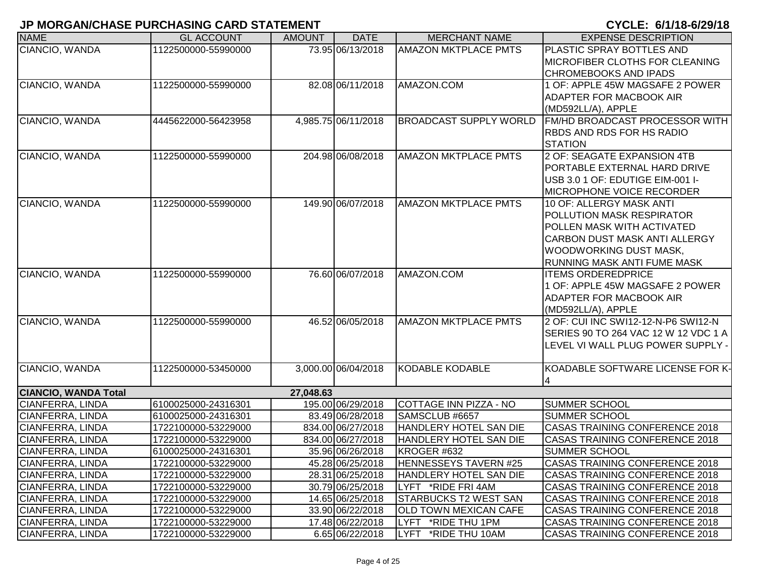|                             |                     |               |                     |                               | U I ULLI U II I U UILUI I U           |
|-----------------------------|---------------------|---------------|---------------------|-------------------------------|---------------------------------------|
| <b>NAME</b>                 | <b>GL ACCOUNT</b>   | <b>AMOUNT</b> | <b>DATE</b>         | <b>MERCHANT NAME</b>          | <b>EXPENSE DESCRIPTION</b>            |
| CIANCIO, WANDA              | 1122500000-55990000 |               | 73.95 06/13/2018    | <b>AMAZON MKTPLACE PMTS</b>   | PLASTIC SPRAY BOTTLES AND             |
|                             |                     |               |                     |                               | MICROFIBER CLOTHS FOR CLEANING        |
|                             |                     |               |                     |                               | <b>CHROMEBOOKS AND IPADS</b>          |
| CIANCIO, WANDA              | 1122500000-55990000 |               | 82.08 06/11/2018    | AMAZON.COM                    | 1 OF: APPLE 45W MAGSAFE 2 POWER       |
|                             |                     |               |                     |                               | ADAPTER FOR MACBOOK AIR               |
|                             |                     |               |                     |                               | (MD592LL/A), APPLE                    |
| CIANCIO, WANDA              | 4445622000-56423958 |               | 4,985.75 06/11/2018 | <b>BROADCAST SUPPLY WORLD</b> | FM/HD BROADCAST PROCESSOR WITH        |
|                             |                     |               |                     |                               | RBDS AND RDS FOR HS RADIO             |
|                             |                     |               |                     |                               | <b>STATION</b>                        |
| CIANCIO, WANDA              | 1122500000-55990000 |               | 204.98 06/08/2018   | <b>AMAZON MKTPLACE PMTS</b>   | 2 OF: SEAGATE EXPANSION 4TB           |
|                             |                     |               |                     |                               | PORTABLE EXTERNAL HARD DRIVE          |
|                             |                     |               |                     |                               | USB 3.0 1 OF: EDUTIGE EIM-001 I-      |
|                             |                     |               |                     |                               | <b>MICROPHONE VOICE RECORDER</b>      |
| CIANCIO, WANDA              | 1122500000-55990000 |               | 149.90 06/07/2018   | <b>AMAZON MKTPLACE PMTS</b>   | 10 OF: ALLERGY MASK ANTI              |
|                             |                     |               |                     |                               | POLLUTION MASK RESPIRATOR             |
|                             |                     |               |                     |                               | POLLEN MASK WITH ACTIVATED            |
|                             |                     |               |                     |                               | <b>CARBON DUST MASK ANTI ALLERGY</b>  |
|                             |                     |               |                     |                               | WOODWORKING DUST MASK,                |
|                             |                     |               |                     |                               | RUNNING MASK ANTI FUME MASK           |
| CIANCIO, WANDA              | 1122500000-55990000 |               | 76.60 06/07/2018    | AMAZON.COM                    | <b>ITEMS ORDEREDPRICE</b>             |
|                             |                     |               |                     |                               | 1 OF: APPLE 45W MAGSAFE 2 POWER       |
|                             |                     |               |                     |                               | ADAPTER FOR MACBOOK AIR               |
|                             |                     |               |                     |                               | (MD592LL/A), APPLE                    |
| CIANCIO, WANDA              | 1122500000-55990000 |               | 46.52 06/05/2018    | <b>AMAZON MKTPLACE PMTS</b>   | 2 OF: CUI INC SWI12-12-N-P6 SWI12-N   |
|                             |                     |               |                     |                               | SERIES 90 TO 264 VAC 12 W 12 VDC 1 A  |
|                             |                     |               |                     |                               | LEVEL VI WALL PLUG POWER SUPPLY -     |
| CIANCIO, WANDA              | 1122500000-53450000 |               | 3,000.00 06/04/2018 | <b>KODABLE KODABLE</b>        | KOADABLE SOFTWARE LICENSE FOR K-      |
|                             |                     |               |                     |                               | 4                                     |
| <b>CIANCIO, WANDA Total</b> |                     | 27,048.63     |                     |                               |                                       |
| CIANFERRA, LINDA            | 6100025000-24316301 |               | 195.00 06/29/2018   | COTTAGE INN PIZZA - NO        | <b>SUMMER SCHOOL</b>                  |
| CIANFERRA, LINDA            | 6100025000-24316301 |               | 83.49 06/28/2018    | SAMSCLUB #6657                | <b>SUMMER SCHOOL</b>                  |
| CIANFERRA, LINDA            | 1722100000-53229000 |               | 834.00 06/27/2018   | HANDLERY HOTEL SAN DIE        | CASAS TRAINING CONFERENCE 2018        |
| CIANFERRA, LINDA            | 1722100000-53229000 |               | 834.00 06/27/2018   | HANDLERY HOTEL SAN DIE        | <b>CASAS TRAINING CONFERENCE 2018</b> |
| CIANFERRA, LINDA            | 6100025000-24316301 |               | 35.96 06/26/2018    | KROGER #632                   | <b>SUMMER SCHOOL</b>                  |
| CIANFERRA, LINDA            | 1722100000-53229000 |               | 45.28 06/25/2018    | HENNESSEYS TAVERN #25         | CASAS TRAINING CONFERENCE 2018        |
| CIANFERRA, LINDA            | 1722100000-53229000 |               | 28.31 06/25/2018    | HANDLERY HOTEL SAN DIE        | CASAS TRAINING CONFERENCE 2018        |
| CIANFERRA, LINDA            | 1722100000-53229000 |               | 30.79 06/25/2018    | LYFT *RIDE FRI 4AM            | <b>CASAS TRAINING CONFERENCE 2018</b> |
| CIANFERRA, LINDA            | 1722100000-53229000 |               | 14.65 06/25/2018    | <b>STARBUCKS T2 WEST SAN</b>  | <b>CASAS TRAINING CONFERENCE 2018</b> |
| CIANFERRA, LINDA            | 1722100000-53229000 |               | 33.90 06/22/2018    | OLD TOWN MEXICAN CAFE         | CASAS TRAINING CONFERENCE 2018        |
| CIANFERRA, LINDA            | 1722100000-53229000 |               | 17.48 06/22/2018    | LYFT *RIDE THU 1PM            | CASAS TRAINING CONFERENCE 2018        |
| CIANFERRA, LINDA            | 1722100000-53229000 |               | 6.65 06/22/2018     | LYFT *RIDE THU 10AM           | CASAS TRAINING CONFERENCE 2018        |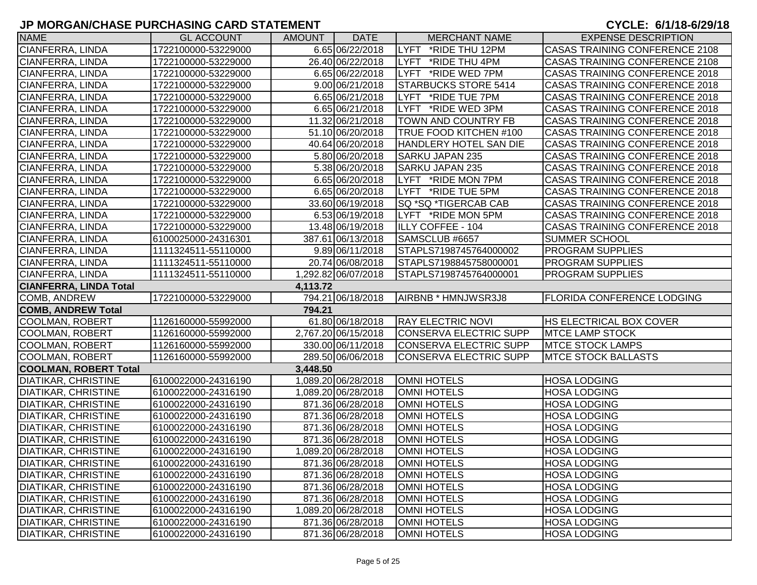| <b>NAME</b>                   | <b>GL ACCOUNT</b>   | <b>AMOUNT</b> | <b>DATE</b>         | <b>MERCHANT NAME</b>           | <b>EXPENSE DESCRIPTION</b>            |
|-------------------------------|---------------------|---------------|---------------------|--------------------------------|---------------------------------------|
| CIANFERRA, LINDA              | 1722100000-53229000 |               | 6.65 06/22/2018     | LYFT<br>*RIDE THU 12PM         | CASAS TRAINING CONFERENCE 2108        |
| CIANFERRA, LINDA              | 1722100000-53229000 |               | 26.40 06/22/2018    | *RIDE THU 4PM<br><b>I</b> LYFT | <b>CASAS TRAINING CONFERENCE 2108</b> |
| CIANFERRA, LINDA              | 1722100000-53229000 |               | 6.65 06/22/2018     | LYFT *RIDE WED 7PM             | CASAS TRAINING CONFERENCE 2018        |
| CIANFERRA, LINDA              | 1722100000-53229000 |               | 9.00 06/21/2018     | STARBUCKS STORE 5414           | CASAS TRAINING CONFERENCE 2018        |
| CIANFERRA, LINDA              | 1722100000-53229000 |               | 6.65 06/21/2018     | LYFT *RIDE TUE 7PM             | CASAS TRAINING CONFERENCE 2018        |
| CIANFERRA, LINDA              | 1722100000-53229000 |               | 6.65 06/21/2018     | LYFT *RIDE WED 3PM             | CASAS TRAINING CONFERENCE 2018        |
| CIANFERRA, LINDA              | 1722100000-53229000 |               | 11.32 06/21/2018    | <b>TOWN AND COUNTRY FB</b>     | CASAS TRAINING CONFERENCE 2018        |
| CIANFERRA, LINDA              | 1722100000-53229000 |               | 51.10 06/20/2018    | TRUE FOOD KITCHEN #100         | CASAS TRAINING CONFERENCE 2018        |
| CIANFERRA, LINDA              | 1722100000-53229000 |               | 40.64 06/20/2018    | <b>HANDLERY HOTEL SAN DIE</b>  | <b>CASAS TRAINING CONFERENCE 2018</b> |
| CIANFERRA, LINDA              | 1722100000-53229000 |               | 5.80 06/20/2018     | SARKU JAPAN 235                | <b>CASAS TRAINING CONFERENCE 2018</b> |
| CIANFERRA, LINDA              | 1722100000-53229000 |               | 5.38 06/20/2018     | SARKU JAPAN 235                | <b>CASAS TRAINING CONFERENCE 2018</b> |
| CIANFERRA, LINDA              | 1722100000-53229000 |               | 6.65 06/20/2018     | LYFT *RIDE MON 7PM             | <b>CASAS TRAINING CONFERENCE 2018</b> |
| CIANFERRA, LINDA              | 1722100000-53229000 |               | 6.65 06/20/2018     | LYFT *RIDE TUE 5PM             | <b>CASAS TRAINING CONFERENCE 2018</b> |
| CIANFERRA, LINDA              | 1722100000-53229000 |               | 33.60 06/19/2018    | SQ *SQ *TIGERCAB CAB           | <b>CASAS TRAINING CONFERENCE 2018</b> |
| CIANFERRA, LINDA              | 1722100000-53229000 |               | 6.53 06/19/2018     | LYFT *RIDE MON 5PM             | <b>CASAS TRAINING CONFERENCE 2018</b> |
| CIANFERRA, LINDA              | 1722100000-53229000 |               | 13.48 06/19/2018    | <b>ILLY COFFEE - 104</b>       | <b>CASAS TRAINING CONFERENCE 2018</b> |
| CIANFERRA, LINDA              | 6100025000-24316301 |               | 387.61 06/13/2018   | SAMSCLUB #6657                 | <b>SUMMER SCHOOL</b>                  |
| CIANFERRA, LINDA              | 1111324511-55110000 |               | 9.89 06/11/2018     | STAPLS7198745764000002         | <b>PROGRAM SUPPLIES</b>               |
| CIANFERRA, LINDA              | 1111324511-55110000 |               | 20.74 06/08/2018    | STAPLS7198845758000001         | <b>PROGRAM SUPPLIES</b>               |
| CIANFERRA, LINDA              | 1111324511-55110000 |               | 1,292.82 06/07/2018 | STAPLS7198745764000001         | <b>PROGRAM SUPPLIES</b>               |
| <b>CIANFERRA, LINDA Total</b> |                     | 4,113.72      |                     |                                |                                       |
| COMB, ANDREW                  | 1722100000-53229000 |               | 794.21 06/18/2018   | AIRBNB * HMNJWSR3J8            | <b>FLORIDA CONFERENCE LODGING</b>     |
| <b>COMB, ANDREW Total</b>     |                     | 794.21        |                     |                                |                                       |
| COOLMAN, ROBERT               | 1126160000-55992000 |               | 61.80 06/18/2018    | <b>RAY ELECTRIC NOVI</b>       | <b>HS ELECTRICAL BOX COVER</b>        |
| COOLMAN, ROBERT               | 1126160000-55992000 |               | 2,767.20 06/15/2018 | CONSERVA ELECTRIC SUPP         | <b>MTCE LAMP STOCK</b>                |
| COOLMAN, ROBERT               | 1126160000-55992000 |               | 330.00 06/11/2018   | CONSERVA ELECTRIC SUPP         | <b>MTCE STOCK LAMPS</b>               |
| COOLMAN, ROBERT               | 1126160000-55992000 |               | 289.50 06/06/2018   | CONSERVA ELECTRIC SUPP         | <b>IMTCE STOCK BALLASTS</b>           |
| COOLMAN, ROBERT Total         |                     | 3,448.50      |                     |                                |                                       |
| DIATIKAR, CHRISTINE           | 6100022000-24316190 |               | 1,089.20 06/28/2018 | OMNI HOTELS                    | <b>HOSA LODGING</b>                   |
| <b>DIATIKAR, CHRISTINE</b>    | 6100022000-24316190 |               | 1,089.20 06/28/2018 | OMNI HOTELS                    | <b>HOSA LODGING</b>                   |
| <b>DIATIKAR, CHRISTINE</b>    | 6100022000-24316190 |               | 871.36 06/28/2018   | <b>OMNI HOTELS</b>             | <b>HOSA LODGING</b>                   |
| DIATIKAR, CHRISTINE           | 6100022000-24316190 |               | 871.36 06/28/2018   | <b>OMNI HOTELS</b>             | <b>HOSA LODGING</b>                   |
| DIATIKAR, CHRISTINE           | 6100022000-24316190 |               | 871.36 06/28/2018   | OMNI HOTELS                    | <b>HOSA LODGING</b>                   |
| DIATIKAR, CHRISTINE           | 6100022000-24316190 |               | 871.36 06/28/2018   | OMNI HOTELS                    | <b>HOSA LODGING</b>                   |
| <b>DIATIKAR, CHRISTINE</b>    | 6100022000-24316190 |               | 1,089.20 06/28/2018 | <b>OMNI HOTELS</b>             | <b>HOSA LODGING</b>                   |
| DIATIKAR, CHRISTINE           | 6100022000-24316190 |               | 871.36 06/28/2018   | <b>OMNI HOTELS</b>             | <b>HOSA LODGING</b>                   |
| <b>DIATIKAR, CHRISTINE</b>    | 6100022000-24316190 |               | 871.36 06/28/2018   | <b>OMNI HOTELS</b>             | <b>HOSA LODGING</b>                   |
| <b>DIATIKAR, CHRISTINE</b>    | 6100022000-24316190 |               | 871.36 06/28/2018   | OMNI HOTELS                    | <b>HOSA LODGING</b>                   |
| <b>DIATIKAR, CHRISTINE</b>    | 6100022000-24316190 |               | 871.36 06/28/2018   | OMNI HOTELS                    | <b>HOSA LODGING</b>                   |
| <b>DIATIKAR, CHRISTINE</b>    | 6100022000-24316190 |               | 1,089.20 06/28/2018 | OMNI HOTELS                    | <b>HOSA LODGING</b>                   |
| <b>DIATIKAR, CHRISTINE</b>    | 6100022000-24316190 |               | 871.36 06/28/2018   | OMNI HOTELS                    | <b>HOSA LODGING</b>                   |
| <b>DIATIKAR, CHRISTINE</b>    | 6100022000-24316190 |               | 871.36 06/28/2018   | <b>OMNI HOTELS</b>             | <b>HOSA LODGING</b>                   |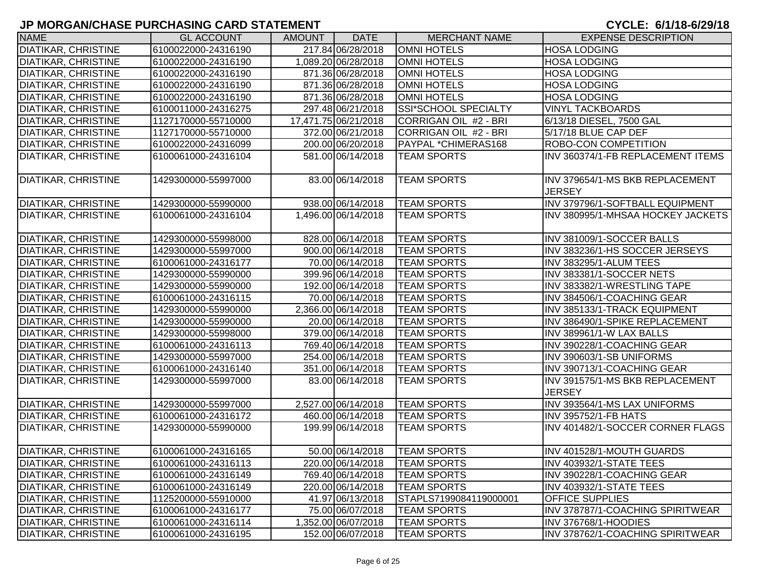| <b>NAME</b>                | <b>GL ACCOUNT</b>   | AMOUNT | <b>DATE</b>          | <b>MERCHANT NAME</b>   | <b>EXPENSE DESCRIPTION</b>                       |
|----------------------------|---------------------|--------|----------------------|------------------------|--------------------------------------------------|
| <b>DIATIKAR, CHRISTINE</b> | 6100022000-24316190 |        | 217.84 06/28/2018    | <b>OMNI HOTELS</b>     | <b>HOSA LODGING</b>                              |
| <b>DIATIKAR, CHRISTINE</b> | 6100022000-24316190 |        | 1,089.20 06/28/2018  | <b>OMNI HOTELS</b>     | <b>HOSA LODGING</b>                              |
| <b>DIATIKAR, CHRISTINE</b> | 6100022000-24316190 |        | 871.36 06/28/2018    | <b>OMNI HOTELS</b>     | <b>HOSA LODGING</b>                              |
| <b>DIATIKAR, CHRISTINE</b> | 6100022000-24316190 |        | 871.36 06/28/2018    | <b>OMNI HOTELS</b>     | <b>HOSA LODGING</b>                              |
| <b>DIATIKAR, CHRISTINE</b> | 6100022000-24316190 |        | 871.36 06/28/2018    | <b>OMNI HOTELS</b>     | <b>HOSA LODGING</b>                              |
| <b>DIATIKAR, CHRISTINE</b> | 6100011000-24316275 |        | 297.48 06/21/2018    | SSI*SCHOOL SPECIALTY   | <b>VINYL TACKBOARDS</b>                          |
| DIATIKAR, CHRISTINE        | 1127170000-55710000 |        | 17,471.75 06/21/2018 | CORRIGAN OIL #2 - BRI  | 6/13/18 DIESEL, 7500 GAL                         |
| <b>DIATIKAR, CHRISTINE</b> | 1127170000-55710000 |        | 372.00 06/21/2018    | CORRIGAN OIL #2 - BRI  | 5/17/18 BLUE CAP DEF                             |
| <b>DIATIKAR, CHRISTINE</b> | 6100022000-24316099 |        | 200.00 06/20/2018    | PAYPAL *CHIMERAS168    | <b>ROBO-CON COMPETITION</b>                      |
| <b>DIATIKAR, CHRISTINE</b> | 6100061000-24316104 |        | 581.00 06/14/2018    | <b>TEAM SPORTS</b>     | INV 360374/1-FB REPLACEMENT ITEMS                |
| <b>DIATIKAR, CHRISTINE</b> | 1429300000-55997000 |        | 83.00 06/14/2018     | <b>TEAM SPORTS</b>     | INV 379654/1-MS BKB REPLACEMENT<br><b>JERSEY</b> |
| <b>DIATIKAR, CHRISTINE</b> | 1429300000-55990000 |        | 938.00 06/14/2018    | <b>TEAM SPORTS</b>     | INV 379796/1-SOFTBALL EQUIPMENT                  |
| <b>DIATIKAR, CHRISTINE</b> | 6100061000-24316104 |        | 1,496.00 06/14/2018  | <b>TEAM SPORTS</b>     | INV 380995/1-MHSAA HOCKEY JACKETS                |
| <b>DIATIKAR, CHRISTINE</b> | 1429300000-55998000 |        | 828.00 06/14/2018    | <b>TEAM SPORTS</b>     | INV 381009/1-SOCCER BALLS                        |
| <b>DIATIKAR, CHRISTINE</b> | 1429300000-55997000 |        | 900.00 06/14/2018    | <b>TEAM SPORTS</b>     | INV 383236/1-HS SOCCER JERSEYS                   |
| <b>DIATIKAR, CHRISTINE</b> | 6100061000-24316177 |        | 70.00 06/14/2018     | <b>TEAM SPORTS</b>     | INV 383295/1-ALUM TEES                           |
| <b>DIATIKAR, CHRISTINE</b> | 1429300000-55990000 |        | 399.96 06/14/2018    | <b>TEAM SPORTS</b>     | INV 383381/1-SOCCER NETS                         |
| <b>DIATIKAR, CHRISTINE</b> | 1429300000-55990000 |        | 192.00 06/14/2018    | <b>TEAM SPORTS</b>     | INV 383382/1-WRESTLING TAPE                      |
| <b>DIATIKAR, CHRISTINE</b> | 6100061000-24316115 |        | 70.00 06/14/2018     | <b>TEAM SPORTS</b>     | INV 384506/1-COACHING GEAR                       |
| <b>DIATIKAR, CHRISTINE</b> | 1429300000-55990000 |        | 2,366.00 06/14/2018  | <b>TEAM SPORTS</b>     | INV 385133/1-TRACK EQUIPMENT                     |
| <b>DIATIKAR, CHRISTINE</b> | 1429300000-55990000 |        | 20.00 06/14/2018     | <b>TEAM SPORTS</b>     | INV 386490/1-SPIKE REPLACEMENT                   |
| <b>DIATIKAR, CHRISTINE</b> | 1429300000-55998000 |        | 379.00 06/14/2018    | <b>TEAM SPORTS</b>     | INV 389961/1-W LAX BALLS                         |
| <b>DIATIKAR, CHRISTINE</b> | 6100061000-24316113 |        | 769.40 06/14/2018    | <b>TEAM SPORTS</b>     | INV 390228/1-COACHING GEAR                       |
| <b>DIATIKAR, CHRISTINE</b> | 1429300000-55997000 |        | 254.00 06/14/2018    | <b>TEAM SPORTS</b>     | INV 390603/1-SB UNIFORMS                         |
| <b>DIATIKAR, CHRISTINE</b> | 6100061000-24316140 |        | 351.00 06/14/2018    | <b>TEAM SPORTS</b>     | INV 390713/1-COACHING GEAR                       |
| DIATIKAR, CHRISTINE        | 1429300000-55997000 |        | 83.00 06/14/2018     | <b>TEAM SPORTS</b>     | INV 391575/1-MS BKB REPLACEMENT<br><b>JERSEY</b> |
| <b>DIATIKAR, CHRISTINE</b> | 1429300000-55997000 |        | 2,527.00 06/14/2018  | <b>TEAM SPORTS</b>     | INV 393564/1-MS LAX UNIFORMS                     |
| DIATIKAR, CHRISTINE        | 6100061000-24316172 |        | 460.00 06/14/2018    | <b>TEAM SPORTS</b>     | INV 395752/1-FB HATS                             |
| DIATIKAR, CHRISTINE        | 1429300000-55990000 |        | 199.99 06/14/2018    | <b>TEAM SPORTS</b>     | INV 401482/1-SOCCER CORNER FLAGS                 |
| <b>DIATIKAR, CHRISTINE</b> | 6100061000-24316165 |        | 50.00 06/14/2018     | <b>TEAM SPORTS</b>     | INV 401528/1-MOUTH GUARDS                        |
| <b>DIATIKAR, CHRISTINE</b> | 6100061000-24316113 |        | 220.00 06/14/2018    | <b>TEAM SPORTS</b>     | INV 403932/1-STATE TEES                          |
| <b>DIATIKAR, CHRISTINE</b> | 6100061000-24316149 |        | 769.40 06/14/2018    | <b>TEAM SPORTS</b>     | INV 390228/1-COACHING GEAR                       |
| DIATIKAR, CHRISTINE        | 6100061000-24316149 |        | 220.00 06/14/2018    | <b>TEAM SPORTS</b>     | INV 403932/1-STATE TEES                          |
| <b>DIATIKAR, CHRISTINE</b> | 1125200000-55910000 |        | 41.97 06/13/2018     | STAPLS7199084119000001 | <b>OFFICE SUPPLIES</b>                           |
| DIATIKAR, CHRISTINE        | 6100061000-24316177 |        | 75.00 06/07/2018     | <b>TEAM SPORTS</b>     | INV 378787/1-COACHING SPIRITWEAR                 |
| <b>DIATIKAR, CHRISTINE</b> | 6100061000-24316114 |        | 1,352.00 06/07/2018  | <b>TEAM SPORTS</b>     | INV 376768/1-HOODIES                             |
| DIATIKAR, CHRISTINE        | 6100061000-24316195 |        | 152.00 06/07/2018    | <b>TEAM SPORTS</b>     | INV 378762/1-COACHING SPIRITWEAR                 |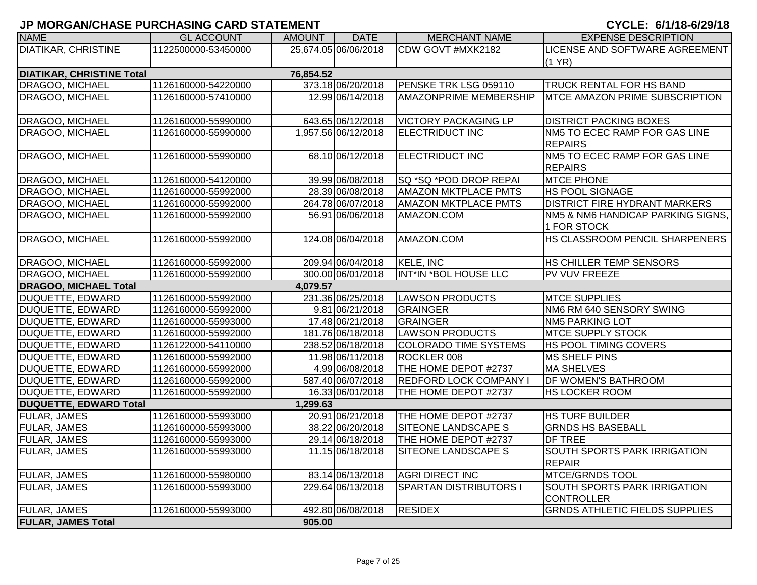| <b>NAME</b>                      | <b>GL ACCOUNT</b>   | <b>AMOUNT</b> | <b>DATE</b>          | <b>MERCHANT NAME</b>          | <b>EXPENSE DESCRIPTION</b>             |
|----------------------------------|---------------------|---------------|----------------------|-------------------------------|----------------------------------------|
| DIATIKAR, CHRISTINE              | 1122500000-53450000 |               | 25,674.05 06/06/2018 | CDW GOVT #MXK2182             | LICENSE AND SOFTWARE AGREEMENT         |
|                                  |                     |               |                      |                               | (1 YR)                                 |
| <b>DIATIKAR, CHRISTINE Total</b> |                     | 76,854.52     |                      |                               |                                        |
| DRAGOO, MICHAEL                  | 1126160000-54220000 |               | 373.18 06/20/2018    | PENSKE TRK LSG 059110         | <b>TRUCK RENTAL FOR HS BAND</b>        |
| DRAGOO, MICHAEL                  | 1126160000-57410000 |               | 12.99 06/14/2018     | <b>AMAZONPRIME MEMBERSHIP</b> | <b>IMTCE AMAZON PRIME SUBSCRIPTION</b> |
|                                  |                     |               |                      |                               |                                        |
| DRAGOO, MICHAEL                  | 1126160000-55990000 |               | 643.65 06/12/2018    | <b>VICTORY PACKAGING LP</b>   | <b>DISTRICT PACKING BOXES</b>          |
| <b>DRAGOO, MICHAEL</b>           | 1126160000-55990000 |               | 1,957.56 06/12/2018  | <b>ELECTRIDUCT INC</b>        | NM5 TO ECEC RAMP FOR GAS LINE          |
|                                  |                     |               |                      |                               | <b>REPAIRS</b>                         |
| DRAGOO, MICHAEL                  | 1126160000-55990000 |               | 68.10 06/12/2018     | <b>ELECTRIDUCT INC</b>        | NM5 TO ECEC RAMP FOR GAS LINE          |
|                                  |                     |               |                      |                               | <b>REPAIRS</b>                         |
| DRAGOO, MICHAEL                  | 1126160000-54120000 |               | 39.99 06/08/2018     | SQ *SQ *POD DROP REPAI        | <b>MTCE PHONE</b>                      |
| DRAGOO, MICHAEL                  | 1126160000-55992000 |               | 28.39 06/08/2018     | <b>AMAZON MKTPLACE PMTS</b>   | <b>HS POOL SIGNAGE</b>                 |
| DRAGOO, MICHAEL                  | 1126160000-55992000 |               | 264.78 06/07/2018    | <b>AMAZON MKTPLACE PMTS</b>   | <b>DISTRICT FIRE HYDRANT MARKERS</b>   |
| DRAGOO, MICHAEL                  | 1126160000-55992000 |               | 56.91 06/06/2018     | AMAZON.COM                    | NM5 & NM6 HANDICAP PARKING SIGNS,      |
|                                  |                     |               |                      |                               | 1 FOR STOCK                            |
| DRAGOO, MICHAEL                  | 1126160000-55992000 |               | 124.08 06/04/2018    | AMAZON.COM                    | HS CLASSROOM PENCIL SHARPENERS         |
| DRAGOO, MICHAEL                  | 1126160000-55992000 |               | 209.94 06/04/2018    | KELE, INC                     | HS CHILLER TEMP SENSORS                |
| DRAGOO, MICHAEL                  | 1126160000-55992000 |               | 300.00 06/01/2018    | INT*IN *BOL HOUSE LLC         | <b>PV VUV FREEZE</b>                   |
| <b>DRAGOO, MICHAEL Total</b>     |                     | 4,079.57      |                      |                               |                                        |
| <b>DUQUETTE, EDWARD</b>          | 1126160000-55992000 |               | 231.36 06/25/2018    | <b>LAWSON PRODUCTS</b>        | <b>MTCE SUPPLIES</b>                   |
| DUQUETTE, EDWARD                 | 1126160000-55992000 |               | 9.81 06/21/2018      | GRAINGER                      | NM6 RM 640 SENSORY SWING               |
| <b>DUQUETTE, EDWARD</b>          | 1126160000-55993000 |               | 17.48 06/21/2018     | GRAINGER                      | <b>NM5 PARKING LOT</b>                 |
| <b>DUQUETTE, EDWARD</b>          | 1126160000-55992000 |               | 181.76 06/18/2018    | <b>LAWSON PRODUCTS</b>        | <b>MTCE SUPPLY STOCK</b>               |
| DUQUETTE, EDWARD                 | 1126122000-54110000 |               | 238.52 06/18/2018    | <b>COLORADO TIME SYSTEMS</b>  | HS POOL TIMING COVERS                  |
| <b>DUQUETTE, EDWARD</b>          | 1126160000-55992000 |               | 11.98 06/11/2018     | ROCKLER 008                   | <b>MS SHELF PINS</b>                   |
| DUQUETTE, EDWARD                 | 1126160000-55992000 |               | 4.99 06/08/2018      | THE HOME DEPOT #2737          | <b>MA SHELVES</b>                      |
| <b>DUQUETTE, EDWARD</b>          | 1126160000-55992000 |               | 587.40 06/07/2018    | <b>REDFORD LOCK COMPANY I</b> | <b>DF WOMEN'S BATHROOM</b>             |
| <b>DUQUETTE, EDWARD</b>          | 1126160000-55992000 |               | 16.33 06/01/2018     | THE HOME DEPOT #2737          | <b>HS LOCKER ROOM</b>                  |
| <b>DUQUETTE, EDWARD Total</b>    |                     | 1,299.63      |                      |                               |                                        |
| FULAR, JAMES                     | 1126160000-55993000 |               | 20.91 06/21/2018     | THE HOME DEPOT #2737          | <b>HS TURF BUILDER</b>                 |
| <b>FULAR, JAMES</b>              | 1126160000-55993000 |               | 38.22 06/20/2018     | <b>SITEONE LANDSCAPE S</b>    | <b>GRNDS HS BASEBALL</b>               |
| FULAR, JAMES                     | 1126160000-55993000 |               | 29.14 06/18/2018     | THE HOME DEPOT #2737          | <b>DF TREE</b>                         |
| FULAR, JAMES                     | 1126160000-55993000 |               | 11.15 06/18/2018     | SITEONE LANDSCAPE S           | SOUTH SPORTS PARK IRRIGATION           |
|                                  |                     |               |                      |                               | <b>REPAIR</b>                          |
| <b>FULAR, JAMES</b>              | 1126160000-55980000 |               | 83.14 06/13/2018     | <b>AGRI DIRECT INC</b>        | <b>MTCE/GRNDS TOOL</b>                 |
| FULAR, JAMES                     | 1126160000-55993000 |               | 229.64 06/13/2018    | <b>SPARTAN DISTRIBUTORS I</b> | <b>SOUTH SPORTS PARK IRRIGATION</b>    |
|                                  |                     |               |                      |                               | CONTROLLER                             |
| FULAR, JAMES                     | 1126160000-55993000 |               | 492.80 06/08/2018    | <b>RESIDEX</b>                | <b>GRNDS ATHLETIC FIELDS SUPPLIES</b>  |
| <b>FULAR, JAMES Total</b>        |                     | 905.00        |                      |                               |                                        |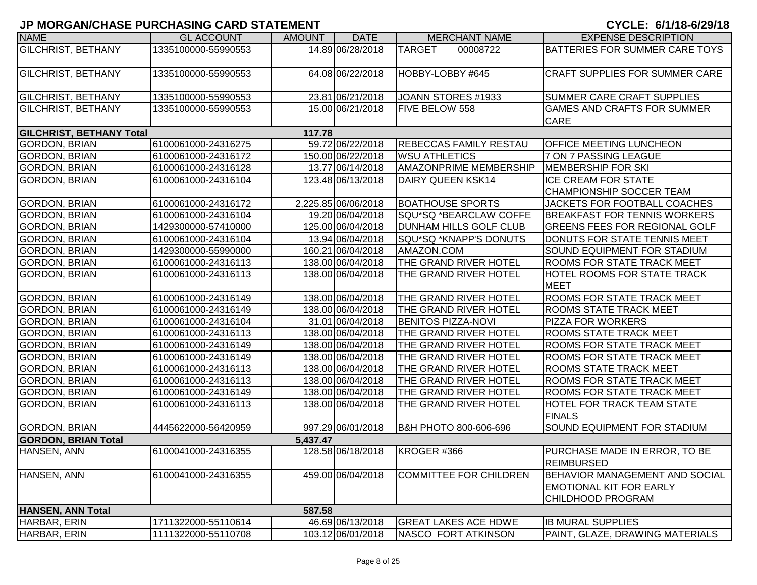| <b>NAME</b>                     | <b>GL ACCOUNT</b>   | <b>AMOUNT</b> | <b>DATE</b>         | <b>MERCHANT NAME</b>             | <b>EXPENSE DESCRIPTION</b>            |
|---------------------------------|---------------------|---------------|---------------------|----------------------------------|---------------------------------------|
| <b>GILCHRIST, BETHANY</b>       | 1335100000-55990553 |               | 14.89 06/28/2018    | <b>TARGET</b><br>00008722        | BATTERIES FOR SUMMER CARE TOYS        |
|                                 |                     |               |                     |                                  |                                       |
| <b>GILCHRIST, BETHANY</b>       | 1335100000-55990553 |               | 64.08 06/22/2018    | HOBBY-LOBBY #645                 | <b>CRAFT SUPPLIES FOR SUMMER CARE</b> |
|                                 |                     |               |                     |                                  |                                       |
| <b>GILCHRIST, BETHANY</b>       | 1335100000-55990553 |               | 23.81 06/21/2018    | JOANN STORES #1933               | SUMMER CARE CRAFT SUPPLIES            |
| <b>GILCHRIST, BETHANY</b>       | 1335100000-55990553 |               | 15.00 06/21/2018    | <b>FIVE BELOW 558</b>            | <b>GAMES AND CRAFTS FOR SUMMER</b>    |
|                                 |                     |               |                     |                                  | <b>CARE</b>                           |
| <b>GILCHRIST, BETHANY Total</b> |                     | 117.78        |                     |                                  |                                       |
| <b>GORDON, BRIAN</b>            | 6100061000-24316275 |               | 59.72 06/22/2018    | <b>REBECCAS FAMILY RESTAU</b>    | <b>OFFICE MEETING LUNCHEON</b>        |
| <b>GORDON, BRIAN</b>            | 6100061000-24316172 |               | 150.00 06/22/2018   | <b>WSU ATHLETICS</b>             | 7 ON 7 PASSING LEAGUE                 |
| <b>GORDON, BRIAN</b>            | 6100061000-24316128 |               | 13.77 06/14/2018    | AMAZONPRIME MEMBERSHIP           | MEMBERSHIP FOR SKI                    |
| GORDON, BRIAN                   | 6100061000-24316104 |               | 123.48 06/13/2018   | DAIRY QUEEN KSK14                | <b>ICE CREAM FOR STATE</b>            |
|                                 |                     |               |                     |                                  | <b>CHAMPIONSHIP SOCCER TEAM</b>       |
| GORDON, BRIAN                   | 6100061000-24316172 |               | 2,225.85 06/06/2018 | <b>BOATHOUSE SPORTS</b>          | JACKETS FOR FOOTBALL COACHES          |
| <b>GORDON, BRIAN</b>            | 6100061000-24316104 |               | 19.20 06/04/2018    | SQU*SQ *BEARCLAW COFFE           | <b>BREAKFAST FOR TENNIS WORKERS</b>   |
| GORDON, BRIAN                   | 1429300000-57410000 |               | 125.00 06/04/2018   | <b>DUNHAM HILLS GOLF CLUB</b>    | <b>GREENS FEES FOR REGIONAL GOLF</b>  |
| <b>GORDON, BRIAN</b>            | 6100061000-24316104 |               | 13.94 06/04/2018    | SQU*SQ *KNAPP'S DONUTS           | DONUTS FOR STATE TENNIS MEET          |
| GORDON, BRIAN                   | 1429300000-55990000 |               | 160.21 06/04/2018   | AMAZON.COM                       | SOUND EQUIPMENT FOR STADIUM           |
| GORDON, BRIAN                   | 6100061000-24316113 |               | 138.00 06/04/2018   | THE GRAND RIVER HOTEL            | <b>ROOMS FOR STATE TRACK MEET</b>     |
| <b>GORDON, BRIAN</b>            | 6100061000-24316113 |               | 138.00 06/04/2018   | THE GRAND RIVER HOTEL            | <b>HOTEL ROOMS FOR STATE TRACK</b>    |
|                                 |                     |               |                     |                                  | MEET                                  |
| GORDON, BRIAN                   | 6100061000-24316149 |               | 138.00 06/04/2018   | THE GRAND RIVER HOTEL            | <b>ROOMS FOR STATE TRACK MEET</b>     |
| <b>GORDON, BRIAN</b>            | 6100061000-24316149 |               | 138.00 06/04/2018   | THE GRAND RIVER HOTEL            | <b>ROOMS STATE TRACK MEET</b>         |
| <b>GORDON, BRIAN</b>            | 6100061000-24316104 |               | 31.01 06/04/2018    | <b>BENITOS PIZZA-NOVI</b>        | <b>PIZZA FOR WORKERS</b>              |
| <b>GORDON, BRIAN</b>            | 6100061000-24316113 |               | 138.00 06/04/2018   | THE GRAND RIVER HOTEL            | <b>ROOMS STATE TRACK MEET</b>         |
| <b>GORDON, BRIAN</b>            | 6100061000-24316149 |               | 138.00 06/04/2018   | THE GRAND RIVER HOTEL            | <b>ROOMS FOR STATE TRACK MEET</b>     |
| <b>GORDON, BRIAN</b>            | 6100061000-24316149 |               | 138.00 06/04/2018   | THE GRAND RIVER HOTEL            | <b>ROOMS FOR STATE TRACK MEET</b>     |
| <b>GORDON, BRIAN</b>            | 6100061000-24316113 |               | 138.00 06/04/2018   | THE GRAND RIVER HOTEL            | <b>ROOMS STATE TRACK MEET</b>         |
| GORDON, BRIAN                   | 6100061000-24316113 |               | 138.00 06/04/2018   | THE GRAND RIVER HOTEL            | <b>ROOMS FOR STATE TRACK MEET</b>     |
| GORDON, BRIAN                   | 6100061000-24316149 |               | 138.00 06/04/2018   | THE GRAND RIVER HOTEL            | <b>ROOMS FOR STATE TRACK MEET</b>     |
| <b>GORDON, BRIAN</b>            | 6100061000-24316113 |               | 138.00 06/04/2018   | THE GRAND RIVER HOTEL            | <b>HOTEL FOR TRACK TEAM STATE</b>     |
|                                 |                     |               |                     |                                  | <b>FINALS</b>                         |
| <b>GORDON, BRIAN</b>            | 4445622000-56420959 |               | 997.29 06/01/2018   | <b>B&amp;H PHOTO 800-606-696</b> | SOUND EQUIPMENT FOR STADIUM           |
| <b>GORDON, BRIAN Total</b>      |                     | 5,437.47      |                     |                                  |                                       |
| HANSEN, ANN                     | 6100041000-24316355 |               | 128.58 06/18/2018   | KROGER #366                      | <b>PURCHASE MADE IN ERROR, TO BE</b>  |
|                                 |                     |               |                     |                                  | <b>REIMBURSED</b>                     |
| HANSEN, ANN                     | 6100041000-24316355 |               | 459.00 06/04/2018   | <b>COMMITTEE FOR CHILDREN</b>    | <b>BEHAVIOR MANAGEMENT AND SOCIAL</b> |
|                                 |                     |               |                     |                                  | <b>EMOTIONAL KIT FOR EARLY</b>        |
|                                 |                     |               |                     |                                  | CHILDHOOD PROGRAM                     |
| HANSEN, ANN Total               |                     | 587.58        |                     |                                  |                                       |
| HARBAR, ERIN                    | 1711322000-55110614 |               | 46.69 06/13/2018    | <b>GREAT LAKES ACE HDWE</b>      | <b>IB MURAL SUPPLIES</b>              |
| HARBAR, ERIN                    | 1111322000-55110708 |               | 103.12 06/01/2018   | NASCO FORT ATKINSON              | PAINT, GLAZE, DRAWING MATERIALS       |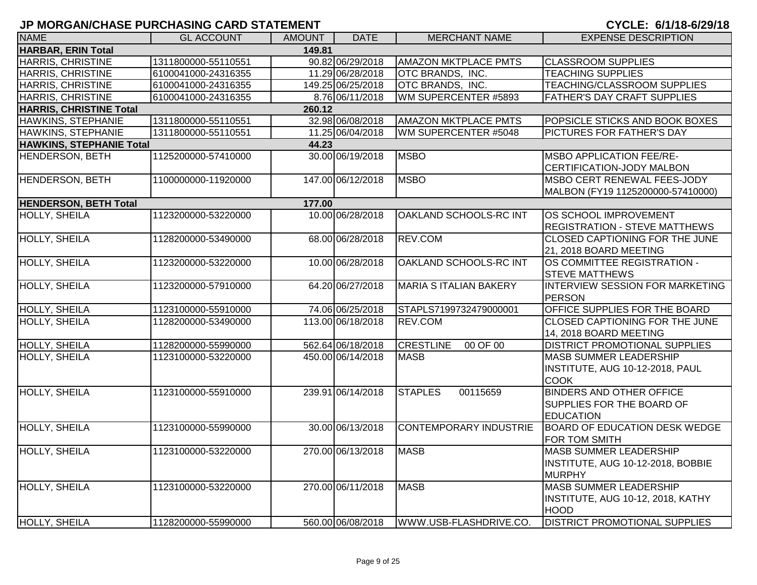| <b>INAME</b>                   | <b>GL ACCOUNT</b>   | AMOUNT | <b>DATE</b>       | <b>MERCHANT NAME</b>          | <b>EXPENSE DESCRIPTION</b>                                                              |
|--------------------------------|---------------------|--------|-------------------|-------------------------------|-----------------------------------------------------------------------------------------|
| HARBAR, ERIN Total             |                     | 149.81 |                   |                               |                                                                                         |
| <b>HARRIS, CHRISTINE</b>       | 1311800000-55110551 |        | 90.82 06/29/2018  | <b>AMAZON MKTPLACE PMTS</b>   | <b>CLASSROOM SUPPLIES</b>                                                               |
| <b>HARRIS, CHRISTINE</b>       | 6100041000-24316355 |        | 11.29 06/28/2018  | OTC BRANDS, INC.              | <b>TEACHING SUPPLIES</b>                                                                |
| HARRIS, CHRISTINE              | 6100041000-24316355 |        | 149.25 06/25/2018 | OTC BRANDS, INC.              | TEACHING/CLASSROOM SUPPLIES                                                             |
| HARRIS, CHRISTINE              | 6100041000-24316355 |        | 8.76 06/11/2018   | WM SUPERCENTER #5893          | FATHER'S DAY CRAFT SUPPLIES                                                             |
| <b>HARRIS, CHRISTINE Total</b> |                     | 260.12 |                   |                               |                                                                                         |
| HAWKINS, STEPHANIE             | 1311800000-55110551 |        | 32.98 06/08/2018  | <b>AMAZON MKTPLACE PMTS</b>   | POPSICLE STICKS AND BOOK BOXES                                                          |
| <b>HAWKINS, STEPHANIE</b>      | 1311800000-55110551 |        | 11.25 06/04/2018  | WM SUPERCENTER #5048          | PICTURES FOR FATHER'S DAY                                                               |
| HAWKINS, STEPHANIE Total       |                     | 44.23  |                   |                               |                                                                                         |
| HENDERSON, BETH                | 1125200000-57410000 |        | 30.00 06/19/2018  | <b>MSBO</b>                   | <b>MSBO APPLICATION FEE/RE-</b><br>CERTIFICATION-JODY MALBON                            |
| <b>HENDERSON, BETH</b>         | 1100000000-11920000 |        | 147.00 06/12/2018 | <b>MSBO</b>                   | <b>MSBO CERT RENEWAL FEES-JODY</b>                                                      |
|                                |                     |        |                   |                               | MALBON (FY19 1125200000-57410000)                                                       |
| <b>HENDERSON, BETH Total</b>   |                     | 177.00 |                   |                               |                                                                                         |
| <b>HOLLY, SHEILA</b>           | 1123200000-53220000 |        | 10.00 06/28/2018  | OAKLAND SCHOOLS-RC INT        | OS SCHOOL IMPROVEMENT                                                                   |
|                                |                     |        |                   |                               | <b>REGISTRATION - STEVE MATTHEWS</b>                                                    |
| <b>HOLLY, SHEILA</b>           | 1128200000-53490000 |        | 68.00 06/28/2018  | <b>REV.COM</b>                | <b>CLOSED CAPTIONING FOR THE JUNE</b>                                                   |
|                                |                     |        |                   |                               | 21, 2018 BOARD MEETING                                                                  |
| <b>HOLLY, SHEILA</b>           | 1123200000-53220000 |        | 10.00 06/28/2018  | OAKLAND SCHOOLS-RC INT        | OS COMMITTEE REGISTRATION -<br><b>STEVE MATTHEWS</b>                                    |
| <b>HOLLY, SHEILA</b>           | 1123200000-57910000 |        | 64.20 06/27/2018  | <b>MARIA S ITALIAN BAKERY</b> | <b>INTERVIEW SESSION FOR MARKETING</b>                                                  |
|                                |                     |        |                   |                               | <b>PERSON</b>                                                                           |
| <b>HOLLY, SHEILA</b>           | 1123100000-55910000 |        | 74.06 06/25/2018  | STAPLS7199732479000001        | OFFICE SUPPLIES FOR THE BOARD                                                           |
| <b>HOLLY, SHEILA</b>           | 1128200000-53490000 |        | 113.00 06/18/2018 | <b>REV.COM</b>                | <b>CLOSED CAPTIONING FOR THE JUNE</b><br>14, 2018 BOARD MEETING                         |
| <b>HOLLY, SHEILA</b>           | 1128200000-55990000 |        | 562.64 06/18/2018 | <b>CRESTLINE</b><br>00 OF 00  | <b>DISTRICT PROMOTIONAL SUPPLIES</b>                                                    |
| HOLLY, SHEILA                  | 1123100000-53220000 |        | 450.00 06/14/2018 | <b>MASB</b>                   | <b>MASB SUMMER LEADERSHIP</b><br>INSTITUTE, AUG 10-12-2018, PAUL<br><b>COOK</b>         |
| <b>HOLLY, SHEILA</b>           | 1123100000-55910000 |        | 239.91 06/14/2018 | <b>STAPLES</b><br>00115659    | <b>BINDERS AND OTHER OFFICE</b><br><b>SUPPLIES FOR THE BOARD OF</b><br><b>EDUCATION</b> |
| <b>HOLLY, SHEILA</b>           | 1123100000-55990000 |        | 30.00 06/13/2018  | <b>CONTEMPORARY INDUSTRIE</b> | <b>BOARD OF EDUCATION DESK WEDGE</b><br>FOR TOM SMITH                                   |
| <b>HOLLY, SHEILA</b>           | 1123100000-53220000 |        | 270.00 06/13/2018 | <b>MASB</b>                   | <b>MASB SUMMER LEADERSHIP</b><br>INSTITUTE, AUG 10-12-2018, BOBBIE<br><b>MURPHY</b>     |
| <b>HOLLY, SHEILA</b>           | 1123100000-53220000 |        | 270.00 06/11/2018 | <b>MASB</b>                   | <b>MASB SUMMER LEADERSHIP</b><br>INSTITUTE, AUG 10-12, 2018, KATHY<br><b>HOOD</b>       |
| <b>HOLLY, SHEILA</b>           | 1128200000-55990000 |        | 560.00 06/08/2018 | WWW.USB-FLASHDRIVE.CO.        | <b>DISTRICT PROMOTIONAL SUPPLIES</b>                                                    |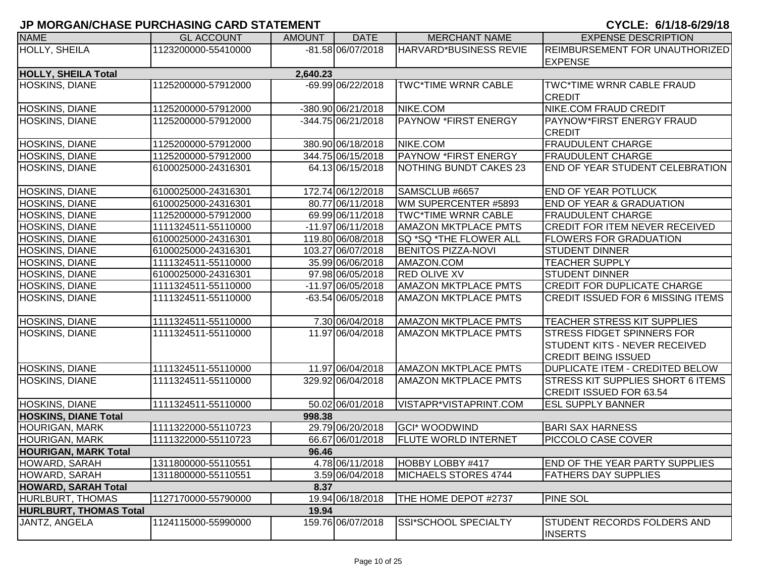|                               |                     |               |                      |                               | V : VLL: V/ !/ !V V/LV/ ! V                                                                      |
|-------------------------------|---------------------|---------------|----------------------|-------------------------------|--------------------------------------------------------------------------------------------------|
| <b>NAME</b>                   | <b>GL ACCOUNT</b>   | <b>AMOUNT</b> | <b>DATE</b>          | <b>MERCHANT NAME</b>          | <b>EXPENSE DESCRIPTION</b>                                                                       |
| HOLLY, SHEILA                 | 1123200000-55410000 |               | -81.58 06/07/2018    | HARVARD*BUSINESS REVIE        | REIMBURSEMENT FOR UNAUTHORIZED<br><b>EXPENSE</b>                                                 |
| <b>HOLLY, SHEILA Total</b>    |                     | 2,640.23      |                      |                               |                                                                                                  |
| HOSKINS, DIANE                | 1125200000-57912000 |               | -69.99 06/22/2018    | <b>TWC*TIME WRNR CABLE</b>    | <b>TWC*TIME WRNR CABLE FRAUD</b><br><b>CREDIT</b>                                                |
| HOSKINS, DIANE                | 1125200000-57912000 |               | $-380.90$ 06/21/2018 | NIKE.COM                      | <b>NIKE.COM FRAUD CREDIT</b>                                                                     |
| HOSKINS, DIANE                | 1125200000-57912000 |               | -344.75 06/21/2018   | <b>PAYNOW *FIRST ENERGY</b>   | PAYNOW*FIRST ENERGY FRAUD<br><b>CREDIT</b>                                                       |
| HOSKINS, DIANE                | 1125200000-57912000 |               | 380.90 06/18/2018    | NIKE.COM                      | <b>FRAUDULENT CHARGE</b>                                                                         |
| <b>HOSKINS, DIANE</b>         | 1125200000-57912000 |               | 344.75 06/15/2018    | <b>PAYNOW *FIRST ENERGY</b>   | <b>FRAUDULENT CHARGE</b>                                                                         |
| HOSKINS, DIANE                | 6100025000-24316301 |               | 64.13 06/15/2018     | <b>NOTHING BUNDT CAKES 23</b> | END OF YEAR STUDENT CELEBRATION                                                                  |
| HOSKINS, DIANE                | 6100025000-24316301 |               | 172.74 06/12/2018    | SAMSCLUB #6657                | <b>END OF YEAR POTLUCK</b>                                                                       |
| HOSKINS, DIANE                | 6100025000-24316301 |               | 80.77 06/11/2018     | WM SUPERCENTER #5893          | <b>END OF YEAR &amp; GRADUATION</b>                                                              |
| HOSKINS, DIANE                | 1125200000-57912000 |               | 69.99 06/11/2018     | <b>TWC*TIME WRNR CABLE</b>    | <b>FRAUDULENT CHARGE</b>                                                                         |
| <b>HOSKINS, DIANE</b>         | 1111324511-55110000 |               | $-11.9706/11/2018$   | <b>AMAZON MKTPLACE PMTS</b>   | <b>CREDIT FOR ITEM NEVER RECEIVED</b>                                                            |
| <b>HOSKINS, DIANE</b>         | 6100025000-24316301 |               | 119.80 06/08/2018    | SQ *SQ *THE FLOWER ALL        | <b>FLOWERS FOR GRADUATION</b>                                                                    |
| <b>HOSKINS, DIANE</b>         | 6100025000-24316301 |               | 103.27 06/07/2018    | <b>BENITOS PIZZA-NOVI</b>     | <b>STUDENT DINNER</b>                                                                            |
| HOSKINS, DIANE                | 1111324511-55110000 |               | 35.99 06/06/2018     | AMAZON.COM                    | <b>TEACHER SUPPLY</b>                                                                            |
| <b>HOSKINS, DIANE</b>         | 6100025000-24316301 |               | 97.98 06/05/2018     | <b>RED OLIVE XV</b>           | <b>STUDENT DINNER</b>                                                                            |
| <b>HOSKINS, DIANE</b>         | 1111324511-55110000 |               | -11.97 06/05/2018    | <b>AMAZON MKTPLACE PMTS</b>   | <b>CREDIT FOR DUPLICATE CHARGE</b>                                                               |
| <b>HOSKINS, DIANE</b>         | 1111324511-55110000 |               | -63.54 06/05/2018    | <b>AMAZON MKTPLACE PMTS</b>   | <b>CREDIT ISSUED FOR 6 MISSING ITEMS</b>                                                         |
| HOSKINS, DIANE                | 1111324511-55110000 |               | 7.30 06/04/2018      | <b>AMAZON MKTPLACE PMTS</b>   | TEACHER STRESS KIT SUPPLIES                                                                      |
| <b>HOSKINS, DIANE</b>         | 1111324511-55110000 |               | 11.97 06/04/2018     | <b>AMAZON MKTPLACE PMTS</b>   | <b>STRESS FIDGET SPINNERS FOR</b><br>STUDENT KITS - NEVER RECEIVED<br><b>CREDIT BEING ISSUED</b> |
| HOSKINS, DIANE                | 1111324511-55110000 |               | 11.97 06/04/2018     | <b>AMAZON MKTPLACE PMTS</b>   | <b>DUPLICATE ITEM - CREDITED BELOW</b>                                                           |
| HOSKINS, DIANE                | 1111324511-55110000 |               | 329.92 06/04/2018    | <b>AMAZON MKTPLACE PMTS</b>   | <b>STRESS KIT SUPPLIES SHORT 6 ITEMS</b><br><b>CREDIT ISSUED FOR 63.54</b>                       |
| HOSKINS, DIANE                | 1111324511-55110000 |               | 50.02 06/01/2018     | VISTAPR*VISTAPRINT.COM        | <b>ESL SUPPLY BANNER</b>                                                                         |
| <b>HOSKINS, DIANE Total</b>   |                     | 998.38        |                      |                               |                                                                                                  |
| <b>HOURIGAN, MARK</b>         | 1111322000-55110723 |               | 29.79 06/20/2018     | <b>GCI* WOODWIND</b>          | <b>BARI SAX HARNESS</b>                                                                          |
| <b>HOURIGAN, MARK</b>         | 1111322000-55110723 |               | 66.67 06/01/2018     | <b>I</b> FLUTE WORLD INTERNET | PICCOLO CASE COVER                                                                               |
| <b>HOURIGAN, MARK Total</b>   |                     | 96.46         |                      |                               |                                                                                                  |
| HOWARD, SARAH                 | 1311800000-55110551 |               | 4.78 06/11/2018      | HOBBY LOBBY #417              | <b>END OF THE YEAR PARTY SUPPLIES</b>                                                            |
| HOWARD, SARAH                 | 1311800000-55110551 |               | 3.59 06/04/2018      | MICHAELS STORES 4744          | <b>FATHERS DAY SUPPLIES</b>                                                                      |
| HOWARD, SARAH Total           |                     | 8.37          |                      |                               |                                                                                                  |
| <b>HURLBURT, THOMAS</b>       | 1127170000-55790000 |               | 19.94 06/18/2018     | THE HOME DEPOT #2737          | <b>PINE SOL</b>                                                                                  |
| <b>HURLBURT, THOMAS Total</b> |                     | 19.94         |                      |                               |                                                                                                  |
| JANTZ, ANGELA                 | 1124115000-55990000 |               | 159.76 06/07/2018    | <b>SSI*SCHOOL SPECIALTY</b>   | STUDENT RECORDS FOLDERS AND<br><b>INSERTS</b>                                                    |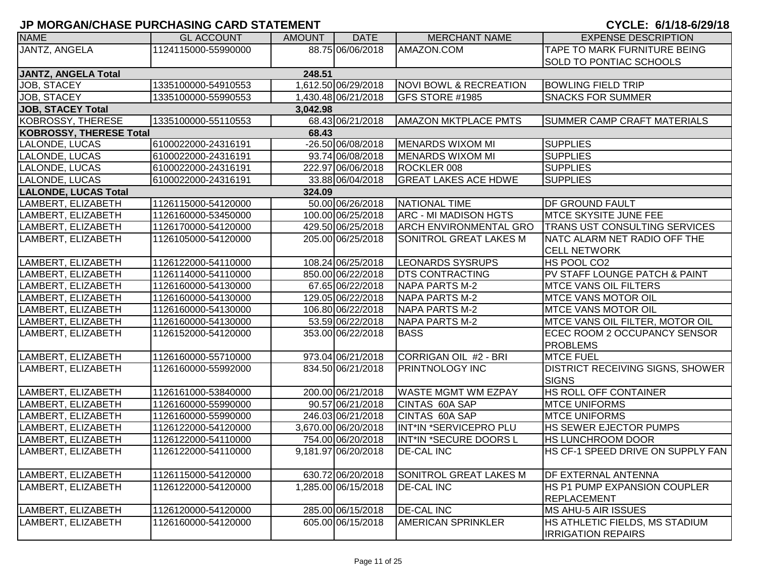| <b>NAME</b>                             | <b>GL ACCOUNT</b>   | <b>AMOUNT</b> | <b>DATE</b>         | <b>MERCHANT NAME</b>              | <b>EXPENSE DESCRIPTION</b>                                  |  |  |  |
|-----------------------------------------|---------------------|---------------|---------------------|-----------------------------------|-------------------------------------------------------------|--|--|--|
| JANTZ, ANGELA                           | 1124115000-55990000 |               | 88.75 06/06/2018    | AMAZON.COM                        | TAPE TO MARK FURNITURE BEING                                |  |  |  |
|                                         |                     |               |                     |                                   | <b>SOLD TO PONTIAC SCHOOLS</b>                              |  |  |  |
| JANTZ, ANGELA Total                     |                     | 248.51        |                     |                                   |                                                             |  |  |  |
| JOB, STACEY                             | 1335100000-54910553 |               | 1,612.50 06/29/2018 | <b>NOVI BOWL &amp; RECREATION</b> | <b>BOWLING FIELD TRIP</b>                                   |  |  |  |
| JOB, STACEY                             | 1335100000-55990553 |               | 1,430.48 06/21/2018 | <b>GFS STORE #1985</b>            | <b>SNACKS FOR SUMMER</b>                                    |  |  |  |
| <b>JOB, STACEY Total</b>                |                     | 3,042.98      |                     |                                   |                                                             |  |  |  |
| <b>KOBROSSY, THERESE</b>                | 1335100000-55110553 |               | 68.43 06/21/2018    | <b>AMAZON MKTPLACE PMTS</b>       | <b>SUMMER CAMP CRAFT MATERIALS</b>                          |  |  |  |
| <b>KOBROSSY, THERESE Total</b><br>68.43 |                     |               |                     |                                   |                                                             |  |  |  |
| LALONDE, LUCAS                          | 6100022000-24316191 |               | -26.50 06/08/2018   | MENARDS WIXOM MI                  | <b>SUPPLIES</b>                                             |  |  |  |
| LALONDE, LUCAS                          | 6100022000-24316191 |               | 93.74 06/08/2018    | MENARDS WIXOM MI                  | <b>SUPPLIES</b>                                             |  |  |  |
| LALONDE, LUCAS                          | 6100022000-24316191 |               | 222.97 06/06/2018   | ROCKLER 008                       | <b>SUPPLIES</b>                                             |  |  |  |
| LALONDE, LUCAS                          | 6100022000-24316191 |               | 33.88 06/04/2018    | <b>GREAT LAKES ACE HDWE</b>       | <b>SUPPLIES</b>                                             |  |  |  |
| <b>LALONDE, LUCAS Total</b>             |                     | 324.09        |                     |                                   |                                                             |  |  |  |
| LAMBERT, ELIZABETH                      | 1126115000-54120000 |               | 50.00 06/26/2018    | NATIONAL TIME                     | <b>DF GROUND FAULT</b>                                      |  |  |  |
| LAMBERT, ELIZABETH                      | 1126160000-53450000 |               | 100.00 06/25/2018   | ARC - MI MADISON HGTS             | <b>IMTCE SKYSITE JUNE FEE</b>                               |  |  |  |
| LAMBERT, ELIZABETH                      | 1126170000-54120000 |               | 429.50 06/25/2018   | <b>ARCH ENVIRONMENTAL GRO</b>     | <b>TRANS UST CONSULTING SERVICES</b>                        |  |  |  |
| LAMBERT, ELIZABETH                      | 1126105000-54120000 |               | 205.00 06/25/2018   | SONITROL GREAT LAKES M            | NATC ALARM NET RADIO OFF THE                                |  |  |  |
|                                         |                     |               |                     |                                   | <b>CELL NETWORK</b>                                         |  |  |  |
| LAMBERT, ELIZABETH                      | 1126122000-54110000 |               | 108.24 06/25/2018   | LEONARDS SYSRUPS                  | <b>HS POOL CO2</b>                                          |  |  |  |
| LAMBERT, ELIZABETH                      | 1126114000-54110000 |               | 850.00 06/22/2018   | <b>DTS CONTRACTING</b>            | PV STAFF LOUNGE PATCH & PAINT                               |  |  |  |
| LAMBERT, ELIZABETH                      | 1126160000-54130000 |               | 67.65 06/22/2018    | <b>NAPA PARTS M-2</b>             | <b>MTCE VANS OIL FILTERS</b>                                |  |  |  |
| LAMBERT, ELIZABETH                      | 1126160000-54130000 |               | 129.05 06/22/2018   | <b>NAPA PARTS M-2</b>             | <b>IMTCE VANS MOTOR OIL</b>                                 |  |  |  |
| LAMBERT, ELIZABETH                      | 1126160000-54130000 |               | 106.80 06/22/2018   | NAPA PARTS M-2                    | <b>MTCE VANS MOTOR OIL</b>                                  |  |  |  |
| LAMBERT, ELIZABETH                      | 1126160000-54130000 |               | 53.59 06/22/2018    | NAPA PARTS M-2                    | MTCE VANS OIL FILTER, MOTOR OIL                             |  |  |  |
| LAMBERT, ELIZABETH                      | 1126152000-54120000 |               | 353.00 06/22/2018   | <b>BASS</b>                       | ECEC ROOM 2 OCCUPANCY SENSOR                                |  |  |  |
|                                         |                     |               |                     |                                   | <b>PROBLEMS</b>                                             |  |  |  |
| LAMBERT, ELIZABETH                      | 1126160000-55710000 |               | 973.04 06/21/2018   | CORRIGAN OIL #2 - BRI             | <b>MTCE FUEL</b>                                            |  |  |  |
| LAMBERT, ELIZABETH                      | 1126160000-55992000 |               | 834.50 06/21/2018   | <b>PRINTNOLOGY INC</b>            | DISTRICT RECEIVING SIGNS, SHOWER                            |  |  |  |
|                                         |                     |               |                     |                                   | <b>SIGNS</b>                                                |  |  |  |
| LAMBERT, ELIZABETH                      | 1126161000-53840000 |               | 200.00 06/21/2018   | <b>WASTE MGMT WM EZPAY</b>        | HS ROLL OFF CONTAINER                                       |  |  |  |
| LAMBERT, ELIZABETH                      | 1126160000-55990000 |               | 90.57 06/21/2018    | CINTAS 60A SAP                    | <b>MTCE UNIFORMS</b>                                        |  |  |  |
| LAMBERT, ELIZABETH                      | 1126160000-55990000 |               | 246.03 06/21/2018   | CINTAS 60A SAP                    | <b>MTCE UNIFORMS</b>                                        |  |  |  |
| LAMBERT, ELIZABETH                      | 1126122000-54120000 |               | 3,670.00 06/20/2018 | INT*IN *SERVICEPRO PLU            | <b>HS SEWER EJECTOR PUMPS</b>                               |  |  |  |
| LAMBERT, ELIZABETH                      | 1126122000-54110000 |               | 754.00 06/20/2018   | <b>INT*IN *SECURE DOORS L</b>     | <b>HS LUNCHROOM DOOR</b>                                    |  |  |  |
| LAMBERT, ELIZABETH                      | 1126122000-54110000 |               | 9,181.97 06/20/2018 | <b>DE-CAL INC</b>                 | HS CF-1 SPEED DRIVE ON SUPPLY FAN                           |  |  |  |
|                                         |                     |               |                     |                                   |                                                             |  |  |  |
| LAMBERT, ELIZABETH                      | 1126115000-54120000 |               | 630.72 06/20/2018   | <b>SONITROL GREAT LAKES M</b>     | <b>DF EXTERNAL ANTENNA</b>                                  |  |  |  |
| LAMBERT, ELIZABETH                      | 1126122000-54120000 |               | 1,285.00 06/15/2018 | <b>DE-CAL INC</b>                 | <b>HS P1 PUMP EXPANSION COUPLER</b>                         |  |  |  |
|                                         |                     |               |                     |                                   | <b>REPLACEMENT</b>                                          |  |  |  |
| LAMBERT, ELIZABETH                      | 1126120000-54120000 |               | 285.00 06/15/2018   | <b>DE-CAL INC</b>                 | MS AHU-5 AIR ISSUES                                         |  |  |  |
| LAMBERT, ELIZABETH                      | 1126160000-54120000 |               | 605.00 06/15/2018   | <b>AMERICAN SPRINKLER</b>         | HS ATHLETIC FIELDS, MS STADIUM<br><b>IRRIGATION REPAIRS</b> |  |  |  |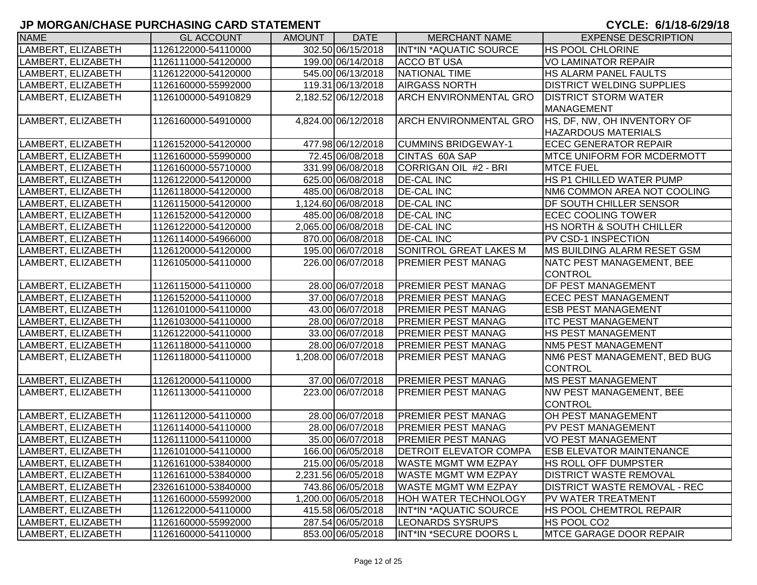| <b>NAME</b>        | <b>GL ACCOUNT</b>   | <b>AMOUNT</b> | <b>DATE</b>         | <b>MERCHANT NAME</b>          | <b>EXPENSE DESCRIPTION</b>          |
|--------------------|---------------------|---------------|---------------------|-------------------------------|-------------------------------------|
| LAMBERT, ELIZABETH | 1126122000-54110000 |               | 302.50 06/15/2018   | INT*IN *AQUATIC SOURCE        | <b>HS POOL CHLORINE</b>             |
| LAMBERT, ELIZABETH | 1126111000-54120000 |               | 199.00 06/14/2018   | <b>ACCO BT USA</b>            | <b>VO LAMINATOR REPAIR</b>          |
| LAMBERT, ELIZABETH | 1126122000-54120000 |               | 545.00 06/13/2018   | NATIONAL TIME                 | <b>HS ALARM PANEL FAULTS</b>        |
| LAMBERT, ELIZABETH | 1126160000-55992000 |               | 119.31 06/13/2018   | <b>AIRGASS NORTH</b>          | <b>DISTRICT WELDING SUPPLIES</b>    |
| LAMBERT, ELIZABETH | 1126100000-54910829 |               | 2,182.52 06/12/2018 | <b>ARCH ENVIRONMENTAL GRO</b> | <b>DISTRICT STORM WATER</b>         |
|                    |                     |               |                     |                               | MANAGEMENT                          |
| LAMBERT, ELIZABETH | 1126160000-54910000 |               | 4,824.00 06/12/2018 | <b>ARCH ENVIRONMENTAL GRO</b> | HS, DF, NW, OH INVENTORY OF         |
|                    |                     |               |                     |                               | <b>HAZARDOUS MATERIALS</b>          |
| LAMBERT, ELIZABETH | 1126152000-54120000 |               | 477.98 06/12/2018   | <b>CUMMINS BRIDGEWAY-1</b>    | <b>ECEC GENERATOR REPAIR</b>        |
| LAMBERT, ELIZABETH | 1126160000-55990000 |               | 72.45 06/08/2018    | CINTAS 60A SAP                | <b>IMTCE UNIFORM FOR MCDERMOTT</b>  |
| LAMBERT, ELIZABETH | 1126160000-55710000 |               | 331.99 06/08/2018   | CORRIGAN OIL #2 - BRI         | <b>MTCE FUEL</b>                    |
| LAMBERT, ELIZABETH | 1126122000-54120000 |               | 625.00 06/08/2018   | <b>DE-CAL INC</b>             | HS P1 CHILLED WATER PUMP            |
| LAMBERT, ELIZABETH | 1126118000-54120000 |               | 485.00 06/08/2018   | <b>DE-CAL INC</b>             | NM6 COMMON AREA NOT COOLING         |
| LAMBERT, ELIZABETH | 1126115000-54120000 |               | 1,124.60 06/08/2018 | <b>DE-CAL INC</b>             | <b>DF SOUTH CHILLER SENSOR</b>      |
| LAMBERT, ELIZABETH | 1126152000-54120000 |               | 485.00 06/08/2018   | <b>DE-CAL INC</b>             | <b>ECEC COOLING TOWER</b>           |
| LAMBERT, ELIZABETH | 1126122000-54120000 |               | 2,065.00 06/08/2018 | <b>DE-CAL INC</b>             | <b>HS NORTH &amp; SOUTH CHILLER</b> |
| LAMBERT, ELIZABETH | 1126114000-54966000 |               | 870.00 06/08/2018   | <b>DE-CAL INC</b>             | PV CSD-1 INSPECTION                 |
| LAMBERT, ELIZABETH | 1126120000-54120000 |               | 195.00 06/07/2018   | SONITROL GREAT LAKES M        | <b>IMS BUILDING ALARM RESET GSM</b> |
| LAMBERT, ELIZABETH | 1126105000-54110000 |               | 226.00 06/07/2018   | PREMIER PEST MANAG            | NATC PEST MANAGEMENT, BEE           |
|                    |                     |               |                     |                               | <b>CONTROL</b>                      |
| LAMBERT, ELIZABETH | 1126115000-54110000 |               | 28.00 06/07/2018    | <b>PREMIER PEST MANAG</b>     | <b>DF PEST MANAGEMENT</b>           |
| LAMBERT, ELIZABETH | 1126152000-54110000 |               | 37.00 06/07/2018    | <b>PREMIER PEST MANAG</b>     | <b>ECEC PEST MANAGEMENT</b>         |
| LAMBERT, ELIZABETH | 1126101000-54110000 |               | 43.00 06/07/2018    | <b>PREMIER PEST MANAG</b>     | <b>ESB PEST MANAGEMENT</b>          |
| LAMBERT, ELIZABETH | 1126103000-54110000 |               | 28.00 06/07/2018    | <b>PREMIER PEST MANAG</b>     | <b>ITC PEST MANAGEMENT</b>          |
| LAMBERT, ELIZABETH | 1126122000-54110000 |               | 33.00 06/07/2018    | <b>PREMIER PEST MANAG</b>     | <b>HS PEST MANAGEMENT</b>           |
| LAMBERT, ELIZABETH | 1126118000-54110000 |               | 28.00 06/07/2018    | <b>PREMIER PEST MANAG</b>     | <b>NM5 PEST MANAGEMENT</b>          |
| LAMBERT, ELIZABETH | 1126118000-54110000 |               | 1,208.00 06/07/2018 | PREMIER PEST MANAG            | NM6 PEST MANAGEMENT, BED BUG        |
|                    |                     |               |                     |                               | <b>CONTROL</b>                      |
| LAMBERT, ELIZABETH | 1126120000-54110000 |               | 37.00 06/07/2018    | <b>PREMIER PEST MANAG</b>     | <b>MS PEST MANAGEMENT</b>           |
| LAMBERT, ELIZABETH | 1126113000-54110000 |               | 223.00 06/07/2018   | PREMIER PEST MANAG            | NW PEST MANAGEMENT, BEE             |
|                    |                     |               |                     |                               | <b>CONTROL</b>                      |
| LAMBERT, ELIZABETH | 1126112000-54110000 |               | 28.00 06/07/2018    | <b>PREMIER PEST MANAG</b>     | <b>OH PEST MANAGEMENT</b>           |
| LAMBERT, ELIZABETH | 1126114000-54110000 |               | 28.00 06/07/2018    | PREMIER PEST MANAG            | PV PEST MANAGEMENT                  |
| LAMBERT, ELIZABETH | 1126111000-54110000 |               | 35.00 06/07/2018    | <b>PREMIER PEST MANAG</b>     | <b>VO PEST MANAGEMENT</b>           |
| LAMBERT, ELIZABETH | 1126101000-54110000 |               | 166.00 06/05/2018   | <b>DETROIT ELEVATOR COMPA</b> | <b>ESB ELEVATOR MAINTENANCE</b>     |
| LAMBERT, ELIZABETH | 1126161000-53840000 |               | 215.00 06/05/2018   | <b>WASTE MGMT WM EZPAY</b>    | HS ROLL OFF DUMPSTER                |
| LAMBERT, ELIZABETH | 1126161000-53840000 |               | 2,231.56 06/05/2018 | <b>WASTE MGMT WM EZPAY</b>    | <b>DISTRICT WASTE REMOVAL</b>       |
| LAMBERT, ELIZABETH | 2326161000-53840000 |               | 743.86 06/05/2018   | <b>WASTE MGMT WM EZPAY</b>    | <b>DISTRICT WASTE REMOVAL - REC</b> |
| LAMBERT, ELIZABETH | 1126160000-55992000 |               | ,200.00 06/05/2018  | <b>HOH WATER TECHNOLOGY</b>   | <b>PV WATER TREATMENT</b>           |
| LAMBERT, ELIZABETH | 1126122000-54110000 |               | 415.58 06/05/2018   | INT*IN *AQUATIC SOURCE        | <b>HS POOL CHEMTROL REPAIR</b>      |
| LAMBERT, ELIZABETH | 1126160000-55992000 |               | 287.54 06/05/2018   | <b>LEONARDS SYSRUPS</b>       | HS POOL CO2                         |
| LAMBERT, ELIZABETH | 1126160000-54110000 |               | 853.00 06/05/2018   | INT*IN *SECURE DOORS L        | <b>MTCE GARAGE DOOR REPAIR</b>      |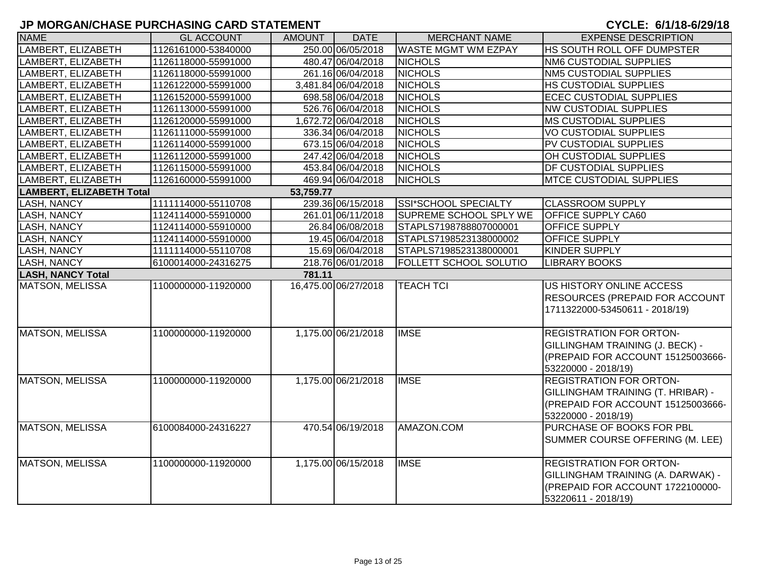| <b>NAME</b>              | <b>GL ACCOUNT</b>   | <b>AMOUNT</b> | <b>DATE</b>          | <b>MERCHANT NAME</b>          | <b>EXPENSE DESCRIPTION</b>            |
|--------------------------|---------------------|---------------|----------------------|-------------------------------|---------------------------------------|
| LAMBERT, ELIZABETH       | 1126161000-53840000 |               | 250.00 06/05/2018    | <b>WASTE MGMT WM EZPAY</b>    | HS SOUTH ROLL OFF DUMPSTER            |
| LAMBERT, ELIZABETH       | 1126118000-55991000 |               | 480.47 06/04/2018    | <b>NICHOLS</b>                | <b>NM6 CUSTODIAL SUPPLIES</b>         |
| LAMBERT, ELIZABETH       | 1126118000-55991000 |               | 261.16 06/04/2018    | <b>NICHOLS</b>                | <b>NM5 CUSTODIAL SUPPLIES</b>         |
| LAMBERT, ELIZABETH       | 1126122000-55991000 |               | 3,481.84 06/04/2018  | <b>NICHOLS</b>                | <b>HS CUSTODIAL SUPPLIES</b>          |
| LAMBERT, ELIZABETH       | 1126152000-55991000 |               | 698.58 06/04/2018    | <b>NICHOLS</b>                | <b>ECEC CUSTODIAL SUPPLIES</b>        |
| LAMBERT, ELIZABETH       | 1126113000-55991000 |               | 526.76 06/04/2018    | <b>NICHOLS</b>                | <b>NW CUSTODIAL SUPPLIES</b>          |
| LAMBERT, ELIZABETH       | 1126120000-55991000 |               | 1,672.72 06/04/2018  | <b>NICHOLS</b>                | <b>MS CUSTODIAL SUPPLIES</b>          |
| LAMBERT, ELIZABETH       | 1126111000-55991000 |               | 336.34 06/04/2018    | <b>NICHOLS</b>                | <b>VO CUSTODIAL SUPPLIES</b>          |
| LAMBERT, ELIZABETH       | 1126114000-55991000 |               | 673.15 06/04/2018    | <b>NICHOLS</b>                | PV CUSTODIAL SUPPLIES                 |
| LAMBERT, ELIZABETH       | 1126112000-55991000 |               | 247.42 06/04/2018    | <b>NICHOLS</b>                | OH CUSTODIAL SUPPLIES                 |
| LAMBERT, ELIZABETH       | 1126115000-55991000 |               | 453.84 06/04/2018    | <b>NICHOLS</b>                | <b>DF CUSTODIAL SUPPLIES</b>          |
| LAMBERT, ELIZABETH       | 1126160000-55991000 |               | 469.94 06/04/2018    | <b>NICHOLS</b>                | <b>MTCE CUSTODIAL SUPPLIES</b>        |
| LAMBERT, ELIZABETH Total |                     | 53,759.77     |                      |                               |                                       |
| LASH, NANCY              | 1111114000-55110708 |               | 239.36 06/15/2018    | SSI*SCHOOL SPECIALTY          | <b>CLASSROOM SUPPLY</b>               |
| LASH, NANCY              | 1124114000-55910000 |               | 261.01 06/11/2018    | SUPREME SCHOOL SPLY WE        | <b>OFFICE SUPPLY CA60</b>             |
| LASH, NANCY              | 1124114000-55910000 |               | 26.84 06/08/2018     | STAPLS7198788807000001        | OFFICE SUPPLY                         |
| <b>LASH, NANCY</b>       | 1124114000-55910000 |               | 19.45 06/04/2018     | STAPLS7198523138000002        | <b>OFFICE SUPPLY</b>                  |
| <b>LASH, NANCY</b>       | 1111114000-55110708 |               | 15.69 06/04/2018     | STAPLS7198523138000001        | KINDER SUPPLY                         |
| <b>LASH, NANCY</b>       | 6100014000-24316275 |               | 218.76 06/01/2018    | <b>FOLLETT SCHOOL SOLUTIO</b> | <b>LIBRARY BOOKS</b>                  |
| <b>LASH, NANCY Total</b> |                     | 781.11        |                      |                               |                                       |
| MATSON, MELISSA          | 1100000000-11920000 |               | 16,475.00 06/27/2018 | <b>TEACH TCI</b>              | US HISTORY ONLINE ACCESS              |
|                          |                     |               |                      |                               | <b>RESOURCES (PREPAID FOR ACCOUNT</b> |
|                          |                     |               |                      |                               | 1711322000-53450611 - 2018/19)        |
|                          |                     |               |                      |                               |                                       |
| <b>MATSON, MELISSA</b>   | 1100000000-11920000 |               | 1,175.00 06/21/2018  | <b>IMSE</b>                   | <b>REGISTRATION FOR ORTON-</b>        |
|                          |                     |               |                      |                               | GILLINGHAM TRAINING (J. BECK) -       |
|                          |                     |               |                      |                               | (PREPAID FOR ACCOUNT 15125003666-     |
|                          |                     |               |                      |                               | 53220000 - 2018/19)                   |
| MATSON, MELISSA          | 1100000000-11920000 |               | 1,175.00 06/21/2018  | <b>IMSE</b>                   | <b>REGISTRATION FOR ORTON-</b>        |
|                          |                     |               |                      |                               | GILLINGHAM TRAINING (T. HRIBAR) -     |
|                          |                     |               |                      |                               | (PREPAID FOR ACCOUNT 15125003666-     |
|                          |                     |               |                      |                               | 53220000 - 2018/19)                   |
| MATSON, MELISSA          | 6100084000-24316227 |               | 470.54 06/19/2018    | AMAZON.COM                    | PURCHASE OF BOOKS FOR PBL             |
|                          |                     |               |                      |                               | SUMMER COURSE OFFERING (M. LEE)       |
|                          |                     |               |                      |                               |                                       |
| MATSON, MELISSA          | 1100000000-11920000 |               | 1,175.00 06/15/2018  | <b>IMSE</b>                   | <b>REGISTRATION FOR ORTON-</b>        |
|                          |                     |               |                      |                               | GILLINGHAM TRAINING (A. DARWAK) -     |
|                          |                     |               |                      |                               | (PREPAID FOR ACCOUNT 1722100000-      |
|                          |                     |               |                      |                               | 53220611 - 2018/19)                   |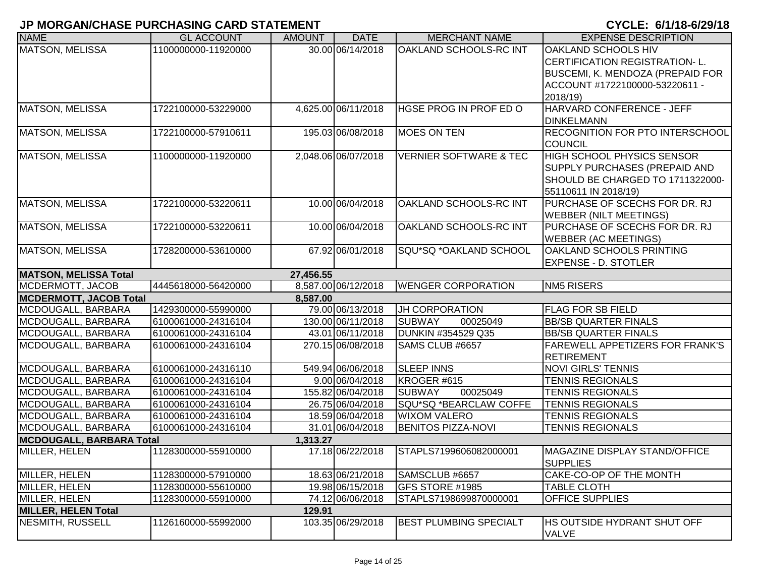| <b>NAME</b>                                      | <b>GL ACCOUNT</b>   | <b>AMOUNT</b> | <b>DATE</b>         | <b>MERCHANT NAME</b>              | <b>EXPENSE DESCRIPTION</b>              |
|--------------------------------------------------|---------------------|---------------|---------------------|-----------------------------------|-----------------------------------------|
| MATSON, MELISSA                                  | 1100000000-11920000 |               | 30.00 06/14/2018    | OAKLAND SCHOOLS-RC INT            | OAKLAND SCHOOLS HIV                     |
|                                                  |                     |               |                     |                                   | <b>CERTIFICATION REGISTRATION- L.</b>   |
|                                                  |                     |               |                     |                                   | <b>BUSCEMI, K. MENDOZA (PREPAID FOR</b> |
|                                                  |                     |               |                     |                                   | ACCOUNT #1722100000-53220611 -          |
|                                                  |                     |               |                     |                                   | 2018/19)                                |
| MATSON, MELISSA                                  | 1722100000-53229000 |               | 4,625.00 06/11/2018 | HGSE PROG IN PROF ED O            | HARVARD CONFERENCE - JEFF               |
|                                                  |                     |               |                     |                                   | <b>DINKELMANN</b>                       |
| MATSON, MELISSA                                  | 1722100000-57910611 |               | 195.03 06/08/2018   | <b>MOES ON TEN</b>                | RECOGNITION FOR PTO INTERSCHOOL         |
|                                                  |                     |               |                     |                                   | <b>COUNCIL</b>                          |
| MATSON, MELISSA                                  | 1100000000-11920000 |               | 2,048.06 06/07/2018 | <b>VERNIER SOFTWARE &amp; TEC</b> | <b>HIGH SCHOOL PHYSICS SENSOR</b>       |
|                                                  |                     |               |                     |                                   | SUPPLY PURCHASES (PREPAID AND           |
|                                                  |                     |               |                     |                                   | SHOULD BE CHARGED TO 1711322000-        |
|                                                  |                     |               |                     |                                   | 55110611 IN 2018/19)                    |
| MATSON, MELISSA                                  | 1722100000-53220611 |               | 10.00 06/04/2018    | OAKLAND SCHOOLS-RC INT            | PURCHASE OF SCECHS FOR DR. RJ           |
|                                                  |                     |               |                     |                                   | <b>WEBBER (NILT MEETINGS)</b>           |
| MATSON, MELISSA                                  | 1722100000-53220611 |               | 10.00 06/04/2018    | OAKLAND SCHOOLS-RC INT            | PURCHASE OF SCECHS FOR DR. RJ           |
|                                                  |                     |               |                     |                                   | <b>WEBBER (AC MEETINGS)</b>             |
| MATSON, MELISSA                                  | 1728200000-53610000 |               | 67.92 06/01/2018    | SQU*SQ *OAKLAND SCHOOL            | OAKLAND SCHOOLS PRINTING                |
|                                                  |                     |               |                     |                                   | <b>EXPENSE - D. STOTLER</b>             |
| <b>MATSON, MELISSA Total</b><br>MCDERMOTT, JACOB |                     | 27,456.55     | 8,587.00 06/12/2018 | <b>WENGER CORPORATION</b>         | <b>NM5 RISERS</b>                       |
| <b>MCDERMOTT, JACOB Total</b>                    | 4445618000-56420000 | 8,587.00      |                     |                                   |                                         |
| MCDOUGALL, BARBARA                               | 1429300000-55990000 |               | 79.00 06/13/2018    | JH CORPORATION                    | <b>FLAG FOR SB FIELD</b>                |
| MCDOUGALL, BARBARA                               | 6100061000-24316104 |               | 130.00 06/11/2018   | <b>SUBWAY</b><br>00025049         | <b>BB/SB QUARTER FINALS</b>             |
| MCDOUGALL, BARBARA                               | 6100061000-24316104 |               | 43.01 06/11/2018    | DUNKIN #354529 Q35                | <b>BB/SB QUARTER FINALS</b>             |
| MCDOUGALL, BARBARA                               | 6100061000-24316104 |               | 270.15 06/08/2018   | SAMS CLUB #6657                   | <b>FAREWELL APPETIZERS FOR FRANK'S</b>  |
|                                                  |                     |               |                     |                                   | <b>RETIREMENT</b>                       |
| MCDOUGALL, BARBARA                               | 6100061000-24316110 |               | 549.94 06/06/2018   | <b>SLEEP INNS</b>                 | <b>NOVI GIRLS' TENNIS</b>               |
| MCDOUGALL, BARBARA                               | 6100061000-24316104 |               | 9.00 06/04/2018     | KROGER #615                       | <b>TENNIS REGIONALS</b>                 |
| MCDOUGALL, BARBARA                               | 6100061000-24316104 |               | 155.82 06/04/2018   | <b>SUBWAY</b><br>00025049         | <b>TENNIS REGIONALS</b>                 |
| MCDOUGALL, BARBARA                               | 6100061000-24316104 |               | 26.75 06/04/2018    | SQU*SQ *BEARCLAW COFFE            | <b>TENNIS REGIONALS</b>                 |
| MCDOUGALL, BARBARA                               | 6100061000-24316104 |               | 18.59 06/04/2018    | <b>WIXOM VALERO</b>               | <b>TENNIS REGIONALS</b>                 |
| MCDOUGALL, BARBARA                               | 6100061000-24316104 |               | 31.01 06/04/2018    | <b>BENITOS PIZZA-NOVI</b>         | <b>TENNIS REGIONALS</b>                 |
| MCDOUGALL, BARBARA Total                         |                     | 1,313.27      |                     |                                   |                                         |
| MILLER, HELEN                                    | 1128300000-55910000 |               | 17.18 06/22/2018    | STAPLS7199606082000001            | <b>MAGAZINE DISPLAY STAND/OFFICE</b>    |
|                                                  |                     |               |                     |                                   | SUPPLIES                                |
| MILLER, HELEN                                    | 1128300000-57910000 |               | 18.63 06/21/2018    | SAMSCLUB #6657                    | CAKE-CO-OP OF THE MONTH                 |
| MILLER, HELEN                                    | 1128300000-55610000 |               | 19.98 06/15/2018    | GFS STORE #1985                   | <b>TABLE CLOTH</b>                      |
| MILLER, HELEN                                    | 1128300000-55910000 |               | 74.12 06/06/2018    | STAPLS7198699870000001            | <b>OFFICE SUPPLIES</b>                  |
| MILLER, HELEN Total                              |                     | 129.91        |                     |                                   |                                         |
| NESMITH, RUSSELL                                 | 1126160000-55992000 |               | 103.35 06/29/2018   | <b>BEST PLUMBING SPECIALT</b>     | <b>HS OUTSIDE HYDRANT SHUT OFF</b>      |
|                                                  |                     |               |                     |                                   | <b>VALVE</b>                            |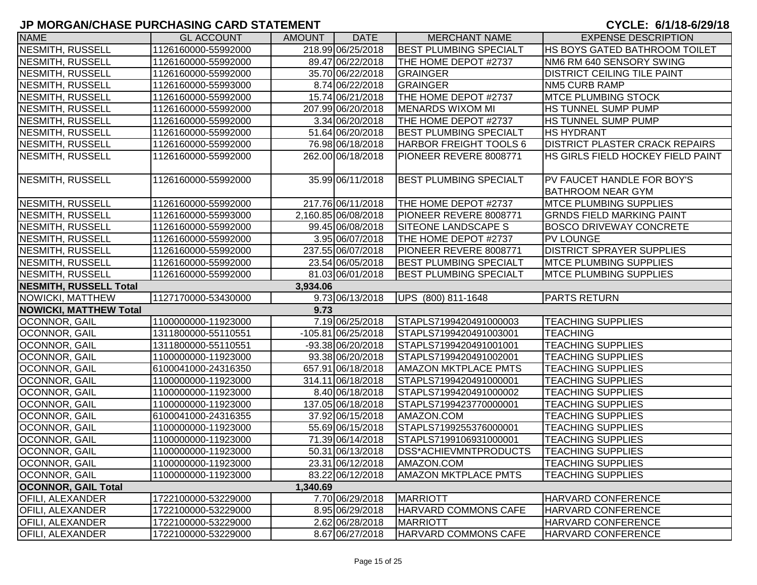| <b>NAME</b>                | <b>GL ACCOUNT</b>   | <b>AMOUNT</b> | <b>DATE</b>         | <b>MERCHANT NAME</b>          | <b>EXPENSE DESCRIPTION</b>                             |
|----------------------------|---------------------|---------------|---------------------|-------------------------------|--------------------------------------------------------|
| <b>NESMITH, RUSSELL</b>    | 1126160000-55992000 |               | 218.99 06/25/2018   | <b>BEST PLUMBING SPECIALT</b> | HS BOYS GATED BATHROOM TOILET                          |
| NESMITH, RUSSELL           | 1126160000-55992000 |               | 89.47 06/22/2018    | THE HOME DEPOT #2737          | NM6 RM 640 SENSORY SWING                               |
| NESMITH, RUSSELL           | 1126160000-55992000 |               | 35.70 06/22/2018    | <b>GRAINGER</b>               | <b>DISTRICT CEILING TILE PAINT</b>                     |
| NESMITH, RUSSELL           | 1126160000-55993000 |               | 8.74 06/22/2018     | <b>GRAINGER</b>               | <b>NM5 CURB RAMP</b>                                   |
| <b>NESMITH, RUSSELL</b>    | 1126160000-55992000 |               | 15.74 06/21/2018    | THE HOME DEPOT #2737          | <b>MTCE PLUMBING STOCK</b>                             |
| <b>NESMITH, RUSSELL</b>    | 1126160000-55992000 |               | 207.99 06/20/2018   | MENARDS WIXOM MI              | HS TUNNEL SUMP PUMP                                    |
| <b>NESMITH, RUSSELL</b>    | 1126160000-55992000 |               | 3.34 06/20/2018     | THE HOME DEPOT #2737          | HS TUNNEL SUMP PUMP                                    |
| NESMITH, RUSSELL           | 1126160000-55992000 |               | 51.64 06/20/2018    | <b>BEST PLUMBING SPECIALT</b> | <b>HS HYDRANT</b>                                      |
| NESMITH, RUSSELL           | 1126160000-55992000 |               | 76.98 06/18/2018    | HARBOR FREIGHT TOOLS 6        | <b>DISTRICT PLASTER CRACK REPAIRS</b>                  |
| <b>NESMITH, RUSSELL</b>    | 1126160000-55992000 |               | 262.00 06/18/2018   | PIONEER REVERE 8008771        | HS GIRLS FIELD HOCKEY FIELD PAINT                      |
| NESMITH, RUSSELL           | 1126160000-55992000 |               | 35.99 06/11/2018    | <b>BEST PLUMBING SPECIALT</b> | PV FAUCET HANDLE FOR BOY'S<br><b>BATHROOM NEAR GYM</b> |
| NESMITH, RUSSELL           | 1126160000-55992000 |               | 217.76 06/11/2018   | THE HOME DEPOT #2737          | <b>MTCE PLUMBING SUPPLIES</b>                          |
| <b>NESMITH, RUSSELL</b>    | 1126160000-55993000 |               | 2,160.85 06/08/2018 | PIONEER REVERE 8008771        | <b>GRNDS FIELD MARKING PAINT</b>                       |
| <b>NESMITH, RUSSELL</b>    | 1126160000-55992000 |               | 99.45 06/08/2018    | <b>SITEONE LANDSCAPE S</b>    | <b>BOSCO DRIVEWAY CONCRETE</b>                         |
| NESMITH, RUSSELL           | 1126160000-55992000 |               | 3.95 06/07/2018     | THE HOME DEPOT #2737          | <b>PV LOUNGE</b>                                       |
| NESMITH, RUSSELL           | 1126160000-55992000 |               | 237.55 06/07/2018   | PIONEER REVERE 8008771        | <b>DISTRICT SPRAYER SUPPLIES</b>                       |
| NESMITH, RUSSELL           | 1126160000-55992000 |               | 23.54 06/05/2018    | <b>BEST PLUMBING SPECIALT</b> | <b>MTCE PLUMBING SUPPLIES</b>                          |
| NESMITH, RUSSELL           | 1126160000-55992000 |               | 81.03 06/01/2018    | <b>BEST PLUMBING SPECIALT</b> | <b>IMTCE PLUMBING SUPPLIES</b>                         |
| NESMITH, RUSSELL Total     |                     | 3,934.06      |                     |                               |                                                        |
| NOWICKI, MATTHEW           | 1127170000-53430000 |               | 9.73 06/13/2018     | UPS (800) 811-1648            | <b>PARTS RETURN</b>                                    |
| NOWICKI, MATTHEW Total     |                     | 9.73          |                     |                               |                                                        |
| <b>OCONNOR, GAIL</b>       | 1100000000-11923000 |               | 7.19 06/25/2018     | STAPLS7199420491000003        | <b>TEACHING SUPPLIES</b>                               |
| OCONNOR, GAIL              | 1311800000-55110551 |               | -105.81 06/25/2018  | STAPLS7199420491003001        | <b>TEACHING</b>                                        |
| OCONNOR, GAIL              | 1311800000-55110551 |               | $-93.38006/20/2018$ | STAPLS7199420491001001        | <b>TEACHING SUPPLIES</b>                               |
| OCONNOR, GAIL              | 1100000000-11923000 |               | 93.38 06/20/2018    | STAPLS7199420491002001        | <b>TEACHING SUPPLIES</b>                               |
| OCONNOR, GAIL              | 6100041000-24316350 |               | 657.91 06/18/2018   | <b>AMAZON MKTPLACE PMTS</b>   | <b>TEACHING SUPPLIES</b>                               |
| OCONNOR, GAIL              | 1100000000-11923000 |               | 314.11 06/18/2018   | STAPLS7199420491000001        | <b>TEACHING SUPPLIES</b>                               |
| OCONNOR, GAIL              | 1100000000-11923000 |               | 8.40 06/18/2018     | STAPLS7199420491000002        | <b>TEACHING SUPPLIES</b>                               |
| OCONNOR, GAIL              | 1100000000-11923000 |               | 137.05 06/18/2018   | STAPLS7199423770000001        | <b>TEACHING SUPPLIES</b>                               |
| OCONNOR, GAIL              | 6100041000-24316355 |               | 37.92 06/15/2018    | AMAZON.COM                    | <b>TEACHING SUPPLIES</b>                               |
| OCONNOR, GAIL              | 1100000000-11923000 |               | 55.69 06/15/2018    | STAPLS7199255376000001        | <b>TEACHING SUPPLIES</b>                               |
| OCONNOR, GAIL              | 1100000000-11923000 |               | 71.39 06/14/2018    | STAPLS7199106931000001        | <b>TEACHING SUPPLIES</b>                               |
| <b>OCONNOR, GAIL</b>       | 1100000000-11923000 |               | 50.31 06/13/2018    | <b>IDSS*ACHIEVMNTPRODUCTS</b> | <b>TEACHING SUPPLIES</b>                               |
| OCONNOR, GAIL              | 1100000000-11923000 |               | 23.31 06/12/2018    | AMAZON.COM                    | <b>TEACHING SUPPLIES</b>                               |
| OCONNOR, GAIL              | 1100000000-11923000 |               | 83.22 06/12/2018    | <b>AMAZON MKTPLACE PMTS</b>   | <b>TEACHING SUPPLIES</b>                               |
| <b>OCONNOR, GAIL Total</b> |                     | 1,340.69      |                     |                               |                                                        |
| <b>OFILI, ALEXANDER</b>    | 1722100000-53229000 |               | 7.70 06/29/2018     | MARRIOTT                      | HARVARD CONFERENCE                                     |
| <b>OFILI, ALEXANDER</b>    | 1722100000-53229000 |               | 8.95 06/29/2018     | <b>HARVARD COMMONS CAFE</b>   | HARVARD CONFERENCE                                     |
| <b>OFILI, ALEXANDER</b>    | 1722100000-53229000 |               | 2.62 06/28/2018     | MARRIOTT                      | HARVARD CONFERENCE                                     |
| <b>OFILI, ALEXANDER</b>    | 1722100000-53229000 |               | 8.67 06/27/2018     | HARVARD COMMONS CAFE          | HARVARD CONFERENCE                                     |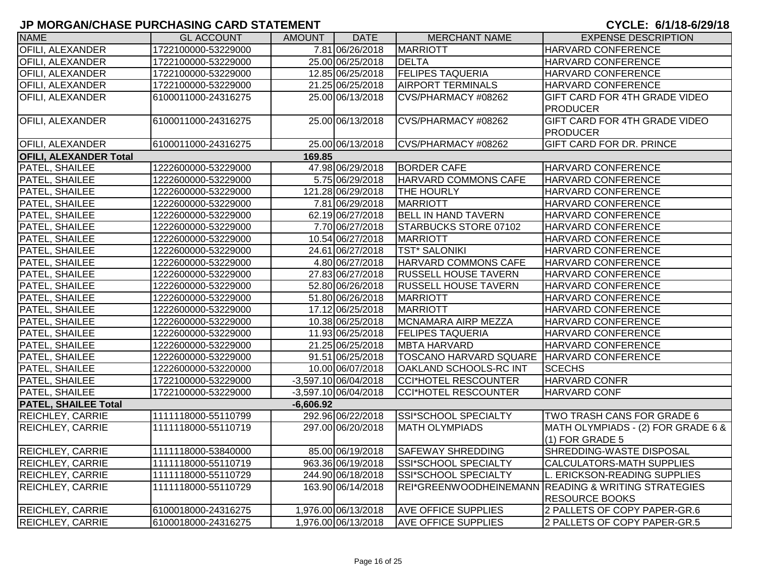| <b>NAME</b>                   | <b>GL ACCOUNT</b>   | AMOUNT      | <b>DATE</b>            | <b>MERCHANT NAME</b>                        | <b>EXPENSE DESCRIPTION</b>                          |
|-------------------------------|---------------------|-------------|------------------------|---------------------------------------------|-----------------------------------------------------|
| <b>OFILI, ALEXANDER</b>       | 1722100000-53229000 |             | 7.81 06/26/2018        | <b>MARRIOTT</b>                             | HARVARD CONFERENCE                                  |
| <b>OFILI, ALEXANDER</b>       | 1722100000-53229000 |             | 25.00 06/25/2018       | DELTA                                       | HARVARD CONFERENCE                                  |
| <b>OFILI, ALEXANDER</b>       | 1722100000-53229000 |             | 12.85 06/25/2018       | <b>FELIPES TAQUERIA</b>                     | HARVARD CONFERENCE                                  |
| <b>OFILI, ALEXANDER</b>       | 1722100000-53229000 |             | 21.25 06/25/2018       | <b>AIRPORT TERMINALS</b>                    | HARVARD CONFERENCE                                  |
| OFILI, ALEXANDER              | 6100011000-24316275 |             | 25.00 06/13/2018       | CVS/PHARMACY #08262                         | GIFT CARD FOR 4TH GRADE VIDEO                       |
|                               |                     |             |                        |                                             | <b>PRODUCER</b>                                     |
| OFILI, ALEXANDER              | 6100011000-24316275 |             | 25.00 06/13/2018       | CVS/PHARMACY #08262                         | GIFT CARD FOR 4TH GRADE VIDEO                       |
|                               |                     |             |                        |                                             | <b>PRODUCER</b>                                     |
| <b>OFILI, ALEXANDER</b>       | 6100011000-24316275 |             | 25.00 06/13/2018       | CVS/PHARMACY #08262                         | GIFT CARD FOR DR. PRINCE                            |
| <b>OFILI, ALEXANDER Total</b> |                     | 169.85      |                        |                                             |                                                     |
| PATEL, SHAILEE                | 1222600000-53229000 |             | 47.98 06/29/2018       | <b>BORDER CAFE</b>                          | HARVARD CONFERENCE                                  |
| PATEL, SHAILEE                | 1222600000-53229000 |             | 5.75 06/29/2018        | <b>HARVARD COMMONS CAFE</b>                 | <b>HARVARD CONFERENCE</b>                           |
| PATEL, SHAILEE                | 1222600000-53229000 |             | 121.28 06/29/2018      | THE HOURLY                                  | <b>HARVARD CONFERENCE</b>                           |
| PATEL, SHAILEE                | 1222600000-53229000 |             | 7.81 06/29/2018        | MARRIOTT                                    | HARVARD CONFERENCE                                  |
| PATEL, SHAILEE                | 1222600000-53229000 |             | 62.19 06/27/2018       | <b>BELL IN HAND TAVERN</b>                  | <b>HARVARD CONFERENCE</b>                           |
| PATEL, SHAILEE                | 1222600000-53229000 |             | 7.70 06/27/2018        | <b>STARBUCKS STORE 07102</b>                | <b>HARVARD CONFERENCE</b>                           |
| PATEL, SHAILEE                | 1222600000-53229000 |             | 10.54 06/27/2018       | MARRIOTT                                    | <b>HARVARD CONFERENCE</b>                           |
| PATEL, SHAILEE                | 1222600000-53229000 |             | 24.61 06/27/2018       | <b>TST* SALONIKI</b>                        | <b>HARVARD CONFERENCE</b>                           |
| PATEL, SHAILEE                | 1222600000-53229000 |             | 4.80 06/27/2018        | HARVARD COMMONS CAFE                        | <b>HARVARD CONFERENCE</b>                           |
| PATEL, SHAILEE                | 1222600000-53229000 |             | 27.83 06/27/2018       | <b>RUSSELL HOUSE TAVERN</b>                 | <b>HARVARD CONFERENCE</b>                           |
| PATEL, SHAILEE                | 1222600000-53229000 |             | 52.80 06/26/2018       | <b>RUSSELL HOUSE TAVERN</b>                 | <b>HARVARD CONFERENCE</b>                           |
| PATEL, SHAILEE                | 1222600000-53229000 |             | 51.80 06/26/2018       | MARRIOTT                                    | <b>HARVARD CONFERENCE</b>                           |
| PATEL, SHAILEE                | 1222600000-53229000 |             | 17.12 06/25/2018       | MARRIOTT                                    | <b>HARVARD CONFERENCE</b>                           |
| PATEL, SHAILEE                | 1222600000-53229000 |             | 10.38 06/25/2018       | MCNAMARA AIRP MEZZA                         | <b>HARVARD CONFERENCE</b>                           |
| PATEL, SHAILEE                | 1222600000-53229000 |             | 11.93 06/25/2018       | <b>FELIPES TAQUERIA</b>                     | HARVARD CONFERENCE                                  |
| PATEL, SHAILEE                | 1222600000-53229000 |             | 21.25 06/25/2018       | <b>MBTA HARVARD</b>                         | <b>HARVARD CONFERENCE</b>                           |
| PATEL, SHAILEE                | 1222600000-53229000 |             | 91.51 06/25/2018       | TOSCANO HARVARD SQUARE   HARVARD CONFERENCE |                                                     |
| PATEL, SHAILEE                | 1222600000-53220000 |             | 10.00 06/07/2018       | OAKLAND SCHOOLS-RC INT                      | <b>SCECHS</b>                                       |
| PATEL, SHAILEE                | 1722100000-53229000 |             | -3,597.10 06/04/2018   | CCI*HOTEL RESCOUNTER                        | <b>HARVARD CONFR</b>                                |
| PATEL, SHAILEE                | 1722100000-53229000 |             | $-3,597.10$ 06/04/2018 | CCI*HOTEL RESCOUNTER                        | <b>HARVARD CONF</b>                                 |
| <b>PATEL, SHAILEE Total</b>   |                     | $-6,606.92$ |                        |                                             |                                                     |
| <b>REICHLEY, CARRIE</b>       | 1111118000-55110799 |             | 292.96 06/22/2018      | SSI*SCHOOL SPECIALTY                        | TWO TRASH CANS FOR GRADE 6                          |
| <b>REICHLEY, CARRIE</b>       | 1111118000-55110719 |             | 297.00 06/20/2018      | <b>MATH OLYMPIADS</b>                       | MATH OLYMPIADS - (2) FOR GRADE 6 &                  |
|                               |                     |             |                        |                                             | $(1)$ FOR GRADE 5                                   |
| REICHLEY, CARRIE              | 1111118000-53840000 |             | 85.00 06/19/2018       | <b>SAFEWAY SHREDDING</b>                    | SHREDDING-WASTE DISPOSAL                            |
| <b>REICHLEY, CARRIE</b>       | 1111118000-55110719 |             | 963.36 06/19/2018      | SSI*SCHOOL SPECIALTY                        | <b>CALCULATORS-MATH SUPPLIES</b>                    |
| <b>REICHLEY, CARRIE</b>       | 1111118000-55110729 |             | 244.90 06/18/2018      | SSI*SCHOOL SPECIALTY                        | L. ERICKSON-READING SUPPLIES                        |
| <b>REICHLEY, CARRIE</b>       | 1111118000-55110729 |             | 163.90 06/14/2018      |                                             | REI*GREENWOODHEINEMANN READING & WRITING STRATEGIES |
|                               |                     |             |                        |                                             | <b>RESOURCE BOOKS</b>                               |
| <b>REICHLEY, CARRIE</b>       | 6100018000-24316275 |             | 1,976.00 06/13/2018    | <b>AVE OFFICE SUPPLIES</b>                  | 2 PALLETS OF COPY PAPER-GR.6                        |
| <b>REICHLEY, CARRIE</b>       | 6100018000-24316275 |             | 1,976.00 06/13/2018    | <b>AVE OFFICE SUPPLIES</b>                  | 2 PALLETS OF COPY PAPER-GR.5                        |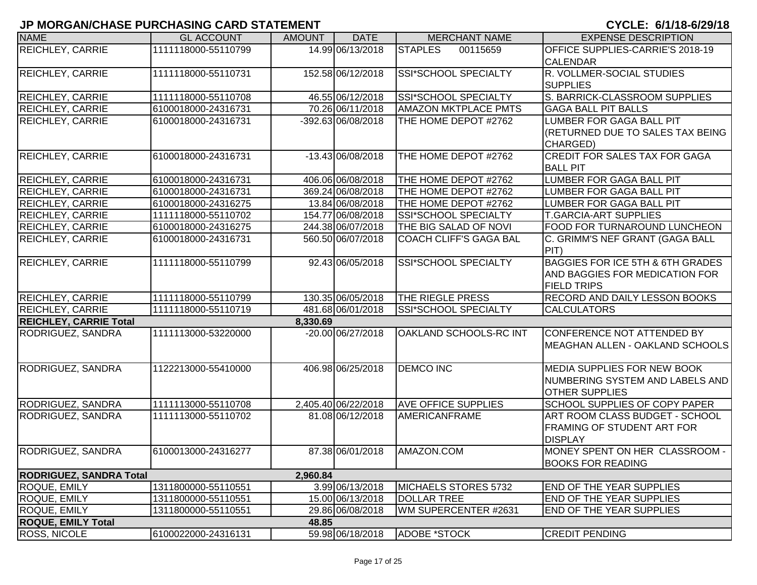| <b>NAME</b>                    | <b>GL ACCOUNT</b>   | <b>AMOUNT</b> | <b>DATE</b>         | <b>MERCHANT NAME</b>          | <b>EXPENSE DESCRIPTION</b>                                                                                 |
|--------------------------------|---------------------|---------------|---------------------|-------------------------------|------------------------------------------------------------------------------------------------------------|
| <b>REICHLEY, CARRIE</b>        | 1111118000-55110799 |               | 14.99 06/13/2018    | <b>STAPLES</b><br>00115659    | OFFICE SUPPLIES-CARRIE'S 2018-19<br><b>CALENDAR</b>                                                        |
| <b>REICHLEY, CARRIE</b>        | 1111118000-55110731 |               | 152.58 06/12/2018   | SSI*SCHOOL SPECIALTY          | R. VOLLMER-SOCIAL STUDIES<br><b>SUPPLIES</b>                                                               |
| <b>REICHLEY, CARRIE</b>        | 1111118000-55110708 |               | 46.55 06/12/2018    | <b>SSI*SCHOOL SPECIALTY</b>   | S. BARRICK-CLASSROOM SUPPLIES                                                                              |
| <b>REICHLEY, CARRIE</b>        | 6100018000-24316731 |               | 70.26 06/11/2018    | <b>AMAZON MKTPLACE PMTS</b>   | <b>GAGA BALL PIT BALLS</b>                                                                                 |
| <b>REICHLEY, CARRIE</b>        | 6100018000-24316731 |               | -392.63 06/08/2018  | THE HOME DEPOT #2762          | LUMBER FOR GAGA BALL PIT<br>(RETURNED DUE TO SALES TAX BEING<br>CHARGED)                                   |
| <b>REICHLEY, CARRIE</b>        | 6100018000-24316731 |               | -13.43 06/08/2018   | THE HOME DEPOT #2762          | <b>CREDIT FOR SALES TAX FOR GAGA</b><br><b>BALL PIT</b>                                                    |
| <b>REICHLEY, CARRIE</b>        | 6100018000-24316731 |               | 406.06 06/08/2018   | THE HOME DEPOT #2762          | LUMBER FOR GAGA BALL PIT                                                                                   |
| <b>REICHLEY, CARRIE</b>        | 6100018000-24316731 |               | 369.24 06/08/2018   | THE HOME DEPOT #2762          | LUMBER FOR GAGA BALL PIT                                                                                   |
| <b>REICHLEY, CARRIE</b>        | 6100018000-24316275 |               | 13.84 06/08/2018    | THE HOME DEPOT #2762          | LUMBER FOR GAGA BALL PIT                                                                                   |
| <b>REICHLEY, CARRIE</b>        | 1111118000-55110702 |               | 154.77 06/08/2018   | <b>SSI*SCHOOL SPECIALTY</b>   | <b>T.GARCIA-ART SUPPLIES</b>                                                                               |
| <b>REICHLEY, CARRIE</b>        | 6100018000-24316275 |               | 244.38 06/07/2018   | THE BIG SALAD OF NOVI         | <b>FOOD FOR TURNAROUND LUNCHEON</b>                                                                        |
| <b>REICHLEY, CARRIE</b>        | 6100018000-24316731 |               | 560.50 06/07/2018   | <b>COACH CLIFF'S GAGA BAL</b> | C. GRIMM'S NEF GRANT (GAGA BALL<br>PIT)                                                                    |
| <b>REICHLEY, CARRIE</b>        | 1111118000-55110799 |               | 92.43 06/05/2018    | SSI*SCHOOL SPECIALTY          | <b>BAGGIES FOR ICE 5TH &amp; 6TH GRADES</b><br><b>AND BAGGIES FOR MEDICATION FOR</b><br><b>FIELD TRIPS</b> |
| <b>REICHLEY, CARRIE</b>        | 1111118000-55110799 |               | 130.35 06/05/2018   | <b>THE RIEGLE PRESS</b>       | <b>RECORD AND DAILY LESSON BOOKS</b>                                                                       |
| <b>REICHLEY, CARRIE</b>        | 1111118000-55110719 |               | 481.68 06/01/2018   | <b>SSI*SCHOOL SPECIALTY</b>   | <b>CALCULATORS</b>                                                                                         |
| <b>REICHLEY, CARRIE Total</b>  |                     | 8,330.69      |                     |                               |                                                                                                            |
| RODRIGUEZ, SANDRA              | 1111113000-53220000 |               | -20.00 06/27/2018   | OAKLAND SCHOOLS-RC INT        | CONFERENCE NOT ATTENDED BY<br>MEAGHAN ALLEN - OAKLAND SCHOOLS                                              |
| RODRIGUEZ, SANDRA              | 1122213000-55410000 |               | 406.98 06/25/2018   | <b>DEMCO INC</b>              | MEDIA SUPPLIES FOR NEW BOOK<br>NUMBERING SYSTEM AND LABELS AND<br><b>OTHER SUPPLIES</b>                    |
| <b>RODRIGUEZ, SANDRA</b>       | 1111113000-55110708 |               | 2,405.40 06/22/2018 | <b>AVE OFFICE SUPPLIES</b>    | <b>SCHOOL SUPPLIES OF COPY PAPER</b>                                                                       |
| RODRIGUEZ, SANDRA              | 1111113000-55110702 |               | 81.08 06/12/2018    | <b>AMERICANFRAME</b>          | ART ROOM CLASS BUDGET - SCHOOL<br><b>FRAMING OF STUDENT ART FOR</b><br><b>DISPLAY</b>                      |
| <b>RODRIGUEZ, SANDRA</b>       | 6100013000-24316277 |               | 87.38 06/01/2018    | AMAZON.COM                    | <b>IMONEY SPENT ON HER CLASSROOM -</b><br><b>BOOKS FOR READING</b>                                         |
| <b>RODRIGUEZ, SANDRA Total</b> |                     | 2,960.84      |                     |                               |                                                                                                            |
| <b>ROQUE, EMILY</b>            | 1311800000-55110551 |               | 3.99 06/13/2018     | MICHAELS STORES 5732          | <b>END OF THE YEAR SUPPLIES</b>                                                                            |
| ROQUE, EMILY                   | 1311800000-55110551 |               | 15.00 06/13/2018    | <b>DOLLAR TREE</b>            | <b>END OF THE YEAR SUPPLIES</b>                                                                            |
| ROQUE, EMILY                   | 1311800000-55110551 |               | 29.86 06/08/2018    | WM SUPERCENTER #2631          | <b>END OF THE YEAR SUPPLIES</b>                                                                            |
| <b>ROQUE, EMILY Total</b>      |                     | 48.85         |                     |                               |                                                                                                            |
| <b>ROSS, NICOLE</b>            | 6100022000-24316131 |               | 59.98 06/18/2018    | ADOBE *STOCK                  | <b>CREDIT PENDING</b>                                                                                      |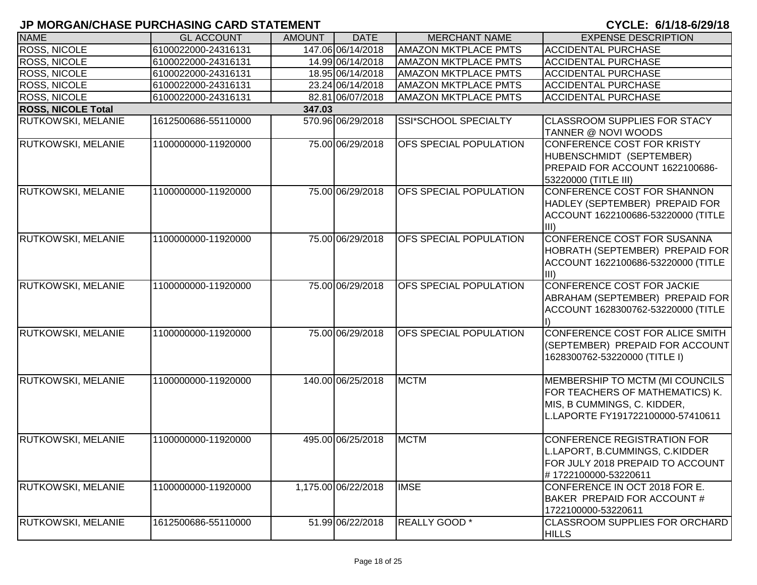| <b>NAME</b>               | <b>GL ACCOUNT</b>   | <b>AMOUNT</b> | <b>DATE</b>         | <b>MERCHANT NAME</b>          | <b>EXPENSE DESCRIPTION</b>                                                                                                             |
|---------------------------|---------------------|---------------|---------------------|-------------------------------|----------------------------------------------------------------------------------------------------------------------------------------|
| <b>ROSS, NICOLE</b>       | 6100022000-24316131 |               | 147.06 06/14/2018   | <b>AMAZON MKTPLACE PMTS</b>   | <b>ACCIDENTAL PURCHASE</b>                                                                                                             |
| <b>ROSS, NICOLE</b>       | 6100022000-24316131 |               | 14.99 06/14/2018    | <b>AMAZON MKTPLACE PMTS</b>   | <b>ACCIDENTAL PURCHASE</b>                                                                                                             |
| <b>ROSS, NICOLE</b>       | 6100022000-24316131 |               | 18.95 06/14/2018    | <b>AMAZON MKTPLACE PMTS</b>   | <b>ACCIDENTAL PURCHASE</b>                                                                                                             |
| ROSS, NICOLE              | 6100022000-24316131 |               | 23.24 06/14/2018    | <b>AMAZON MKTPLACE PMTS</b>   | <b>ACCIDENTAL PURCHASE</b>                                                                                                             |
| <b>ROSS, NICOLE</b>       | 6100022000-24316131 |               | 82.81 06/07/2018    | <b>AMAZON MKTPLACE PMTS</b>   | <b>ACCIDENTAL PURCHASE</b>                                                                                                             |
| <b>ROSS, NICOLE Total</b> |                     | 347.03        |                     |                               |                                                                                                                                        |
| RUTKOWSKI, MELANIE        | 1612500686-55110000 |               | 570.96 06/29/2018   | SSI*SCHOOL SPECIALTY          | <b>CLASSROOM SUPPLIES FOR STACY</b><br>TANNER @ NOVI WOODS                                                                             |
| RUTKOWSKI, MELANIE        | 1100000000-11920000 |               | 75.00 06/29/2018    | <b>OFS SPECIAL POPULATION</b> | CONFERENCE COST FOR KRISTY<br>HUBENSCHMIDT (SEPTEMBER)<br>PREPAID FOR ACCOUNT 1622100686-<br>53220000 (TITLE III)                      |
| RUTKOWSKI, MELANIE        | 1100000000-11920000 |               | 75.00 06/29/2018    | OFS SPECIAL POPULATION        | CONFERENCE COST FOR SHANNON<br>HADLEY (SEPTEMBER) PREPAID FOR<br>ACCOUNT 1622100686-53220000 (TITLE<br>liii)                           |
| RUTKOWSKI, MELANIE        | 1100000000-11920000 |               | 75.00 06/29/2018    | OFS SPECIAL POPULATION        | <b>CONFERENCE COST FOR SUSANNA</b><br>HOBRATH (SEPTEMBER) PREPAID FOR<br>ACCOUNT 1622100686-53220000 (TITLE<br>liii)                   |
| RUTKOWSKI, MELANIE        | 1100000000-11920000 |               | 75.00 06/29/2018    | OFS SPECIAL POPULATION        | CONFERENCE COST FOR JACKIE<br>ABRAHAM (SEPTEMBER) PREPAID FOR<br>ACCOUNT 1628300762-53220000 (TITLE                                    |
| RUTKOWSKI, MELANIE        | 1100000000-11920000 |               | 75.00 06/29/2018    | OFS SPECIAL POPULATION        | CONFERENCE COST FOR ALICE SMITH<br>(SEPTEMBER) PREPAID FOR ACCOUNT<br>1628300762-53220000 (TITLE I)                                    |
| RUTKOWSKI, MELANIE        | 1100000000-11920000 |               | 140.00 06/25/2018   | <b>MCTM</b>                   | MEMBERSHIP TO MCTM (MI COUNCILS<br>FOR TEACHERS OF MATHEMATICS) K.<br>MIS, B CUMMINGS, C. KIDDER,<br>L.LAPORTE FY191722100000-57410611 |
| RUTKOWSKI, MELANIE        | 1100000000-11920000 |               | 495.00 06/25/2018   | MCTM                          | CONFERENCE REGISTRATION FOR<br>L.LAPORT, B.CUMMINGS, C.KIDDER<br>FOR JULY 2018 PREPAID TO ACCOUNT<br>#1722100000-53220611              |
| <b>RUTKOWSKI, MELANIE</b> | 1100000000-11920000 |               | 1,175.00 06/22/2018 | <b>IMSE</b>                   | CONFERENCE IN OCT 2018 FOR E.<br>BAKER PREPAID FOR ACCOUNT#<br>1722100000-53220611                                                     |
| <b>RUTKOWSKI, MELANIE</b> | 1612500686-55110000 |               | 51.99 06/22/2018    | REALLY GOOD *                 | <b>CLASSROOM SUPPLIES FOR ORCHARD</b><br><b>HILLS</b>                                                                                  |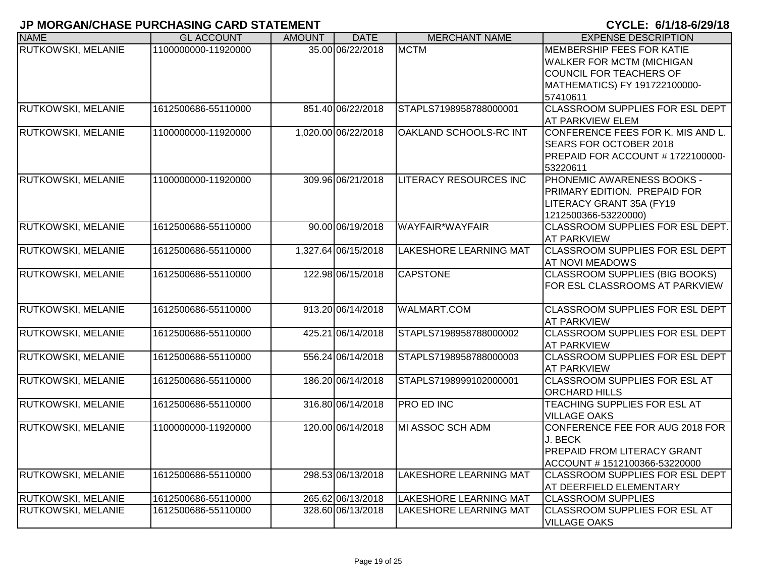| <b>NAME</b>               | <b>GL ACCOUNT</b>   | <b>AMOUNT</b> | <b>DATE</b>         | <b>MERCHANT NAME</b>          | <b>EXPENSE DESCRIPTION</b>                                                                                                            |
|---------------------------|---------------------|---------------|---------------------|-------------------------------|---------------------------------------------------------------------------------------------------------------------------------------|
| RUTKOWSKI, MELANIE        | 1100000000-11920000 |               | 35.00 06/22/2018    | <b>MCTM</b>                   | MEMBERSHIP FEES FOR KATIE<br><b>WALKER FOR MCTM (MICHIGAN</b><br>COUNCIL FOR TEACHERS OF<br>MATHEMATICS) FY 191722100000-<br>57410611 |
| RUTKOWSKI, MELANIE        | 1612500686-55110000 |               | 851.40 06/22/2018   | STAPLS7198958788000001        | CLASSROOM SUPPLIES FOR ESL DEPT<br><b>AT PARKVIEW ELEM</b>                                                                            |
| RUTKOWSKI, MELANIE        | 1100000000-11920000 |               | 1,020.00 06/22/2018 | OAKLAND SCHOOLS-RC INT        | CONFERENCE FEES FOR K. MIS AND L.<br><b>SEARS FOR OCTOBER 2018</b><br>PREPAID FOR ACCOUNT # 1722100000-<br>53220611                   |
| RUTKOWSKI, MELANIE        | 1100000000-11920000 |               | 309.96 06/21/2018   | <b>LITERACY RESOURCES INC</b> | <b>PHONEMIC AWARENESS BOOKS -</b><br><b>PRIMARY EDITION. PREPAID FOR</b><br>LITERACY GRANT 35A (FY19<br>1212500366-53220000)          |
| RUTKOWSKI, MELANIE        | 1612500686-55110000 |               | 90.00 06/19/2018    | <b>WAYFAIR*WAYFAIR</b>        | CLASSROOM SUPPLIES FOR ESL DEPT.<br><b>AT PARKVIEW</b>                                                                                |
| RUTKOWSKI, MELANIE        | 1612500686-55110000 |               | 1,327.64 06/15/2018 | <b>LAKESHORE LEARNING MAT</b> | <b>CLASSROOM SUPPLIES FOR ESL DEPT</b><br><b>AT NOVI MEADOWS</b>                                                                      |
| RUTKOWSKI, MELANIE        | 1612500686-55110000 |               | 122.98 06/15/2018   | <b>CAPSTONE</b>               | <b>CLASSROOM SUPPLIES (BIG BOOKS)</b><br>FOR ESL CLASSROOMS AT PARKVIEW                                                               |
| RUTKOWSKI, MELANIE        | 1612500686-55110000 |               | 913.20 06/14/2018   | <b>WALMART.COM</b>            | CLASSROOM SUPPLIES FOR ESL DEPT<br><b>AT PARKVIEW</b>                                                                                 |
| RUTKOWSKI, MELANIE        | 1612500686-55110000 |               | 425.21 06/14/2018   | STAPLS7198958788000002        | CLASSROOM SUPPLIES FOR ESL DEPT<br><b>AT PARKVIEW</b>                                                                                 |
| RUTKOWSKI, MELANIE        | 1612500686-55110000 |               | 556.24 06/14/2018   | STAPLS7198958788000003        | CLASSROOM SUPPLIES FOR ESL DEPT<br><b>AT PARKVIEW</b>                                                                                 |
| RUTKOWSKI, MELANIE        | 1612500686-55110000 |               | 186.20 06/14/2018   | STAPLS7198999102000001        | <b>CLASSROOM SUPPLIES FOR ESL AT</b><br><b>ORCHARD HILLS</b>                                                                          |
| RUTKOWSKI, MELANIE        | 1612500686-55110000 |               | 316.80 06/14/2018   | <b>PRO ED INC</b>             | TEACHING SUPPLIES FOR ESL AT<br><b>VILLAGE OAKS</b>                                                                                   |
| RUTKOWSKI, MELANIE        | 1100000000-11920000 |               | 120.00 06/14/2018   | MI ASSOC SCH ADM              | CONFERENCE FEE FOR AUG 2018 FOR<br>J. BECK<br><b>PREPAID FROM LITERACY GRANT</b><br>ACCOUNT #1512100366-53220000                      |
| RUTKOWSKI, MELANIE        | 1612500686-55110000 |               | 298.53 06/13/2018   | LAKESHORE LEARNING MAT        | <b>CLASSROOM SUPPLIES FOR ESL DEPT</b><br>AT DEERFIELD ELEMENTARY                                                                     |
| RUTKOWSKI, MELANIE        | 1612500686-55110000 |               | 265.62 06/13/2018   | LAKESHORE LEARNING MAT        | <b>CLASSROOM SUPPLIES</b>                                                                                                             |
| <b>RUTKOWSKI, MELANIE</b> | 1612500686-55110000 |               | 328.60 06/13/2018   | LAKESHORE LEARNING MAT        | CLASSROOM SUPPLIES FOR ESL AT<br><b>VILLAGE OAKS</b>                                                                                  |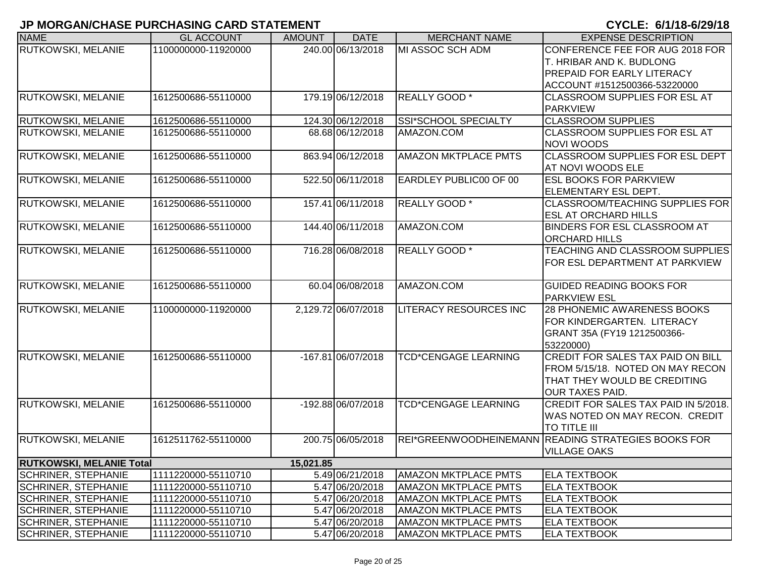| <b>NAME</b>                     | <b>GL ACCOUNT</b>   | <b>AMOUNT</b> | <b>DATE</b>         | <b>MERCHANT NAME</b>          | <b>EXPENSE DESCRIPTION</b>                          |
|---------------------------------|---------------------|---------------|---------------------|-------------------------------|-----------------------------------------------------|
| RUTKOWSKI, MELANIE              | 1100000000-11920000 |               | 240.00 06/13/2018   | MI ASSOC SCH ADM              | CONFERENCE FEE FOR AUG 2018 FOR                     |
|                                 |                     |               |                     |                               | T. HRIBAR AND K. BUDLONG                            |
|                                 |                     |               |                     |                               | <b>PREPAID FOR EARLY LITERACY</b>                   |
|                                 |                     |               |                     |                               | ACCOUNT #1512500366-53220000                        |
| RUTKOWSKI, MELANIE              | 1612500686-55110000 |               | 179.19 06/12/2018   | <b>REALLY GOOD</b> *          | <b>CLASSROOM SUPPLIES FOR ESL AT</b>                |
|                                 |                     |               |                     |                               | <b>PARKVIEW</b>                                     |
| RUTKOWSKI, MELANIE              | 1612500686-55110000 |               | 124.30 06/12/2018   | SSI*SCHOOL SPECIALTY          | <b>CLASSROOM SUPPLIES</b>                           |
| <b>RUTKOWSKI, MELANIE</b>       | 1612500686-55110000 |               | 68.68 06/12/2018    | AMAZON.COM                    | <b>CLASSROOM SUPPLIES FOR ESL AT</b>                |
|                                 |                     |               |                     |                               | NOVI WOODS                                          |
| RUTKOWSKI, MELANIE              | 1612500686-55110000 |               | 863.94 06/12/2018   | <b>AMAZON MKTPLACE PMTS</b>   | CLASSROOM SUPPLIES FOR ESL DEPT                     |
|                                 |                     |               |                     |                               | AT NOVI WOODS ELE                                   |
| RUTKOWSKI, MELANIE              | 1612500686-55110000 |               | 522.50 06/11/2018   | EARDLEY PUBLIC00 OF 00        | <b>ESL BOOKS FOR PARKVIEW</b>                       |
|                                 |                     |               |                     |                               | ELEMENTARY ESL DEPT.                                |
| RUTKOWSKI, MELANIE              | 1612500686-55110000 |               | 157.41 06/11/2018   | <b>REALLY GOOD</b> *          | <b>CLASSROOM/TEACHING SUPPLIES FOR</b>              |
|                                 |                     |               |                     |                               | <b>ESL AT ORCHARD HILLS</b>                         |
| RUTKOWSKI, MELANIE              | 1612500686-55110000 |               | 144.40 06/11/2018   | AMAZON.COM                    | <b>BINDERS FOR ESL CLASSROOM AT</b>                 |
|                                 |                     |               |                     |                               | <b>ORCHARD HILLS</b>                                |
| <b>RUTKOWSKI, MELANIE</b>       | 1612500686-55110000 |               | 716.28 06/08/2018   | <b>REALLY GOOD</b> *          | <b>TEACHING AND CLASSROOM SUPPLIES</b>              |
|                                 |                     |               |                     |                               | FOR ESL DEPARTMENT AT PARKVIEW                      |
|                                 |                     |               |                     |                               |                                                     |
| RUTKOWSKI, MELANIE              | 1612500686-55110000 |               | 60.04 06/08/2018    | AMAZON.COM                    | <b>GUIDED READING BOOKS FOR</b>                     |
|                                 |                     |               |                     |                               | <b>PARKVIEW ESL</b>                                 |
| RUTKOWSKI, MELANIE              | 1100000000-11920000 |               | 2,129.72 06/07/2018 | <b>LITERACY RESOURCES INC</b> | 28 PHONEMIC AWARENESS BOOKS                         |
|                                 |                     |               |                     |                               | FOR KINDERGARTEN. LITERACY                          |
|                                 |                     |               |                     |                               | GRANT 35A (FY19 1212500366-                         |
|                                 |                     |               |                     |                               | 53220000)                                           |
| <b>RUTKOWSKI, MELANIE</b>       | 1612500686-55110000 |               | -167.81 06/07/2018  | <b>TCD*CENGAGE LEARNING</b>   | <b>CREDIT FOR SALES TAX PAID ON BILL</b>            |
|                                 |                     |               |                     |                               | FROM 5/15/18. NOTED ON MAY RECON                    |
|                                 |                     |               |                     |                               | THAT THEY WOULD BE CREDITING                        |
|                                 |                     |               |                     |                               | OUR TAXES PAID.                                     |
| <b>RUTKOWSKI, MELANIE</b>       | 1612500686-55110000 |               | -192.88 06/07/2018  | <b>TCD*CENGAGE LEARNING</b>   | CREDIT FOR SALES TAX PAID IN 5/2018.                |
|                                 |                     |               |                     |                               | WAS NOTED ON MAY RECON. CREDIT                      |
|                                 |                     |               |                     |                               | TO TITLE III                                        |
| <b>RUTKOWSKI, MELANIE</b>       | 1612511762-55110000 |               | 200.75 06/05/2018   |                               | REI*GREENWOODHEINEMANN READING STRATEGIES BOOKS FOR |
|                                 |                     |               |                     |                               | <b>VILLAGE OAKS</b>                                 |
| <b>RUTKOWSKI, MELANIE Total</b> |                     | 15,021.85     |                     |                               |                                                     |
| <b>SCHRINER, STEPHANIE</b>      | 1111220000-55110710 |               | 5.49 06/21/2018     | <b>AMAZON MKTPLACE PMTS</b>   | <b>ELA TEXTBOOK</b>                                 |
| <b>SCHRINER, STEPHANIE</b>      | 1111220000-55110710 |               | 5.47 06/20/2018     | <b>AMAZON MKTPLACE PMTS</b>   | <b>ELA TEXTBOOK</b>                                 |
| <b>SCHRINER, STEPHANIE</b>      | 1111220000-55110710 |               | 5.47 06/20/2018     | <b>AMAZON MKTPLACE PMTS</b>   | <b>ELA TEXTBOOK</b>                                 |
| <b>SCHRINER, STEPHANIE</b>      | 1111220000-55110710 |               | 5.47 06/20/2018     | <b>AMAZON MKTPLACE PMTS</b>   | <b>ELA TEXTBOOK</b>                                 |
| <b>SCHRINER, STEPHANIE</b>      | 1111220000-55110710 |               | 5.47 06/20/2018     | <b>AMAZON MKTPLACE PMTS</b>   | <b>ELA TEXTBOOK</b>                                 |
| <b>SCHRINER, STEPHANIE</b>      | 1111220000-55110710 |               | 5.47 06/20/2018     | <b>AMAZON MKTPLACE PMTS</b>   | <b>ELA TEXTBOOK</b>                                 |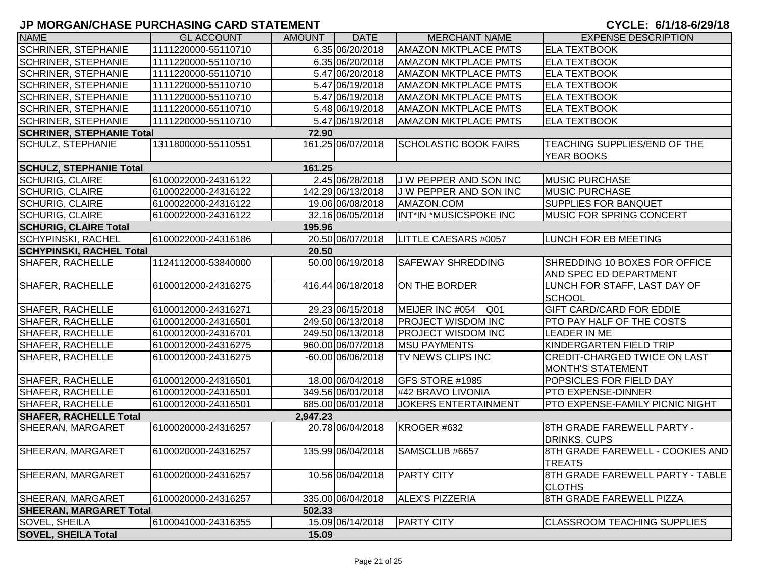| <b>NAME</b>                      | <b>GL ACCOUNT</b>   | <b>AMOUNT</b> | <b>DATE</b>         | <b>MERCHANT NAME</b>               | <b>EXPENSE DESCRIPTION</b>                                      |
|----------------------------------|---------------------|---------------|---------------------|------------------------------------|-----------------------------------------------------------------|
| <b>SCHRINER, STEPHANIE</b>       | 1111220000-55110710 |               | 6.35 06/20/2018     | <b>AMAZON MKTPLACE PMTS</b>        | <b>ELA TEXTBOOK</b>                                             |
| <b>SCHRINER, STEPHANIE</b>       | 1111220000-55110710 |               | 6.35 06/20/2018     | <b>AMAZON MKTPLACE PMTS</b>        | <b>ELA TEXTBOOK</b>                                             |
| <b>SCHRINER, STEPHANIE</b>       | 1111220000-55110710 |               | 5.47 06/20/2018     | <b>AMAZON MKTPLACE PMTS</b>        | <b>ELA TEXTBOOK</b>                                             |
| <b>SCHRINER, STEPHANIE</b>       | 1111220000-55110710 |               | 5.47 06/19/2018     | <b>AMAZON MKTPLACE PMTS</b>        | <b>ELA TEXTBOOK</b>                                             |
| <b>SCHRINER, STEPHANIE</b>       | 1111220000-55110710 |               | 5.47 06/19/2018     | <b>AMAZON MKTPLACE PMTS</b>        | <b>ELA TEXTBOOK</b>                                             |
| <b>SCHRINER, STEPHANIE</b>       | 1111220000-55110710 |               | 5.48 06/19/2018     | <b>AMAZON MKTPLACE PMTS</b>        | <b>ELA TEXTBOOK</b>                                             |
| <b>SCHRINER, STEPHANIE</b>       | 1111220000-55110710 |               | 5.47 06/19/2018     | <b>AMAZON MKTPLACE PMTS</b>        | <b>ELA TEXTBOOK</b>                                             |
| <b>SCHRINER, STEPHANIE Total</b> |                     | 72.90         |                     |                                    |                                                                 |
| <b>SCHULZ, STEPHANIE</b>         | 1311800000-55110551 |               | 161.25 06/07/2018   | <b>SCHOLASTIC BOOK FAIRS</b>       | TEACHING SUPPLIES/END OF THE<br><b>YEAR BOOKS</b>               |
| <b>SCHULZ, STEPHANIE Total</b>   |                     | 161.25        |                     |                                    |                                                                 |
| <b>SCHURIG, CLAIRE</b>           | 6100022000-24316122 |               | 2.45 06/28/2018     | J W PEPPER AND SON INC             | <b>MUSIC PURCHASE</b>                                           |
| <b>SCHURIG, CLAIRE</b>           | 6100022000-24316122 |               | 142.29 06/13/2018   | J W PEPPER AND SON INC             | <b>MUSIC PURCHASE</b>                                           |
| <b>SCHURIG, CLAIRE</b>           | 6100022000-24316122 |               | 19.06 06/08/2018    | AMAZON.COM                         | <b>SUPPLIES FOR BANQUET</b>                                     |
| <b>SCHURIG, CLAIRE</b>           | 6100022000-24316122 |               | 32.16 06/05/2018    | INT*IN *MUSICSPOKE INC             | MUSIC FOR SPRING CONCERT                                        |
| <b>SCHURIG, CLAIRE Total</b>     |                     | 195.96        |                     |                                    |                                                                 |
| <b>SCHYPINSKI, RACHEL</b>        | 6100022000-24316186 |               | 20.50 06/07/2018    | LITTLE CAESARS #0057               | <b>LUNCH FOR EB MEETING</b>                                     |
| <b>SCHYPINSKI, RACHEL Total</b>  |                     | 20.50         |                     |                                    |                                                                 |
| <b>SHAFER, RACHELLE</b>          | 1124112000-53840000 |               | 50.00 06/19/2018    | <b>SAFEWAY SHREDDING</b>           | SHREDDING 10 BOXES FOR OFFICE<br>AND SPEC ED DEPARTMENT         |
| <b>SHAFER, RACHELLE</b>          | 6100012000-24316275 |               | 416.44 06/18/2018   | ON THE BORDER                      | LUNCH FOR STAFF, LAST DAY OF<br><b>SCHOOL</b>                   |
| <b>SHAFER, RACHELLE</b>          | 6100012000-24316271 |               | 29.23 06/15/2018    | MEIJER INC #054<br>Q <sub>01</sub> | <b>GIFT CARD/CARD FOR EDDIE</b>                                 |
| <b>SHAFER, RACHELLE</b>          | 6100012000-24316501 |               | 249.50 06/13/2018   | <b>PROJECT WISDOM INC</b>          | PTO PAY HALF OF THE COSTS                                       |
| <b>SHAFER, RACHELLE</b>          | 6100012000-24316701 |               | 249.50 06/13/2018   | <b>PROJECT WISDOM INC</b>          | <b>LEADER IN ME</b>                                             |
| <b>SHAFER, RACHELLE</b>          | 6100012000-24316275 |               | 960.00 06/07/2018   | <b>MSU PAYMENTS</b>                | KINDERGARTEN FIELD TRIP                                         |
| <b>SHAFER, RACHELLE</b>          | 6100012000-24316275 |               | $-60.00 06/06/2018$ | <b>TV NEWS CLIPS INC</b>           | <b>CREDIT-CHARGED TWICE ON LAST</b><br><b>MONTH'S STATEMENT</b> |
| SHAFER, RACHELLE                 | 6100012000-24316501 |               | 18.00 06/04/2018    | <b>GFS STORE #1985</b>             | POPSICLES FOR FIELD DAY                                         |
| <b>SHAFER, RACHELLE</b>          | 6100012000-24316501 |               | 349.56 06/01/2018   | #42 BRAVO LIVONIA                  | <b>PTO EXPENSE-DINNER</b>                                       |
| <b>SHAFER, RACHELLE</b>          | 6100012000-24316501 |               | 685.00 06/01/2018   | <b>JOKERS ENTERTAINMENT</b>        | PTO EXPENSE-FAMILY PICNIC NIGHT                                 |
| <b>SHAFER, RACHELLE Total</b>    |                     | 2,947.23      |                     |                                    |                                                                 |
| <b>SHEERAN, MARGARET</b>         | 6100020000-24316257 |               | 20.78 06/04/2018    | KROGER #632                        | 8TH GRADE FAREWELL PARTY -<br><b>DRINKS, CUPS</b>               |
| SHEERAN, MARGARET                | 6100020000-24316257 |               | 135.99 06/04/2018   | SAMSCLUB #6657                     | 8TH GRADE FAREWELL - COOKIES AND<br><b>TREATS</b>               |
| SHEERAN, MARGARET                | 6100020000-24316257 |               | 10.56 06/04/2018    | <b>PARTY CITY</b>                  | 8TH GRADE FAREWELL PARTY - TABLE<br><b>CLOTHS</b>               |
| SHEERAN, MARGARET                | 6100020000-24316257 |               | 335.00 06/04/2018   | <b>ALEX'S PIZZERIA</b>             | 8TH GRADE FAREWELL PIZZA                                        |
| <b>SHEERAN, MARGARET Total</b>   |                     | 502.33        |                     |                                    |                                                                 |
| SOVEL, SHEILA                    | 6100041000-24316355 |               | 15.09 06/14/2018    | <b>PARTY CITY</b>                  | <b>CLASSROOM TEACHING SUPPLIES</b>                              |
| <b>SOVEL, SHEILA Total</b>       |                     | 15.09         |                     |                                    |                                                                 |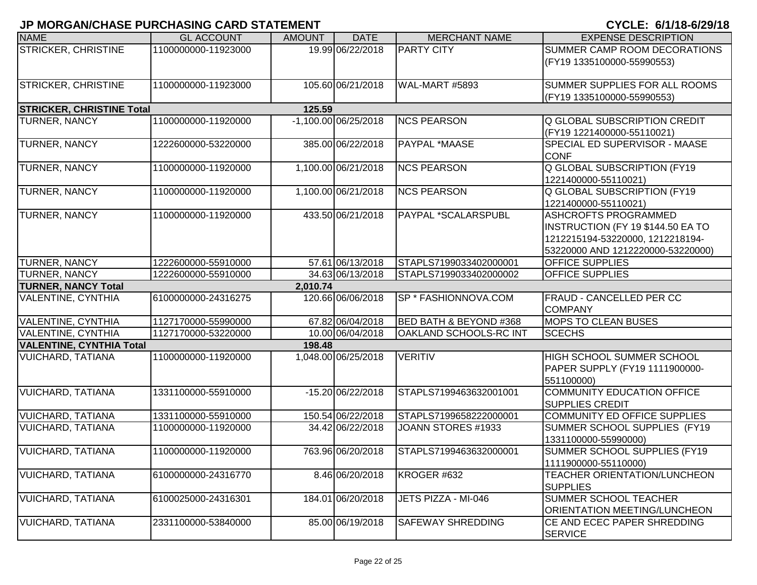| <b>NAME</b>                      | <b>GL ACCOUNT</b>   | <b>AMOUNT</b> | <b>DATE</b>            | <b>MERCHANT NAME</b>              | <b>EXPENSE DESCRIPTION</b>                                                                                                                |
|----------------------------------|---------------------|---------------|------------------------|-----------------------------------|-------------------------------------------------------------------------------------------------------------------------------------------|
| <b>STRICKER, CHRISTINE</b>       | 1100000000-11923000 |               | 19.99 06/22/2018       | <b>PARTY CITY</b>                 | SUMMER CAMP ROOM DECORATIONS<br>(FY19 1335100000-55990553)                                                                                |
| <b>STRICKER, CHRISTINE</b>       | 1100000000-11923000 |               | 105.60 06/21/2018      | WAL-MART #5893                    | SUMMER SUPPLIES FOR ALL ROOMS<br>(FY19 1335100000-55990553)                                                                               |
| <b>STRICKER, CHRISTINE Total</b> |                     | 125.59        |                        |                                   |                                                                                                                                           |
| <b>TURNER, NANCY</b>             | 1100000000-11920000 |               | $-1,100.00$ 06/25/2018 | <b>NCS PEARSON</b>                | <b>Q GLOBAL SUBSCRIPTION CREDIT</b><br>(FY19 1221400000-55110021)                                                                         |
| TURNER, NANCY                    | 1222600000-53220000 |               | 385.00 06/22/2018      | PAYPAL *MAASE                     | SPECIAL ED SUPERVISOR - MAASE<br><b>CONF</b>                                                                                              |
| <b>TURNER, NANCY</b>             | 1100000000-11920000 |               | 1,100.00 06/21/2018    | <b>NCS PEARSON</b>                | <b>Q GLOBAL SUBSCRIPTION (FY19)</b><br>1221400000-55110021)                                                                               |
| <b>TURNER, NANCY</b>             | 1100000000-11920000 |               | 1,100.00 06/21/2018    | <b>NCS PEARSON</b>                | <b>Q GLOBAL SUBSCRIPTION (FY19</b><br>1221400000-55110021)                                                                                |
| <b>TURNER, NANCY</b>             | 1100000000-11920000 |               | 433.50 06/21/2018      | PAYPAL *SCALARSPUBL               | <b>ASHCROFTS PROGRAMMED</b><br>INSTRUCTION (FY 19 \$144.50 EA TO<br>1212215194-53220000, 1212218194-<br>53220000 AND 1212220000-53220000) |
| TURNER, NANCY                    | 1222600000-55910000 |               | 57.61 06/13/2018       | STAPLS7199033402000001            | <b>OFFICE SUPPLIES</b>                                                                                                                    |
| TURNER, NANCY                    | 1222600000-55910000 |               | 34.63 06/13/2018       | STAPLS7199033402000002            | <b>OFFICE SUPPLIES</b>                                                                                                                    |
| <b>TURNER, NANCY Total</b>       |                     | 2,010.74      |                        |                                   |                                                                                                                                           |
| <b>VALENTINE, CYNTHIA</b>        | 6100000000-24316275 |               | 120.66 06/06/2018      | SP * FASHIONNOVA.COM              | <b>FRAUD - CANCELLED PER CC</b><br><b>COMPANY</b>                                                                                         |
| VALENTINE, CYNTHIA               | 1127170000-55990000 |               | 67.82 06/04/2018       | <b>BED BATH &amp; BEYOND #368</b> | <b>MOPS TO CLEAN BUSES</b>                                                                                                                |
| <b>VALENTINE, CYNTHIA</b>        | 1127170000-53220000 |               | 10.00 06/04/2018       | OAKLAND SCHOOLS-RC INT            | <b>SCECHS</b>                                                                                                                             |
| <b>VALENTINE, CYNTHIA Total</b>  |                     | 198.48        |                        |                                   |                                                                                                                                           |
| <b>VUICHARD, TATIANA</b>         | 1100000000-11920000 |               | 1,048.00 06/25/2018    | <b>VERITIV</b>                    | <b>HIGH SCHOOL SUMMER SCHOOL</b><br>PAPER SUPPLY (FY19 1111900000-<br>551100000)                                                          |
| <b>VUICHARD, TATIANA</b>         | 1331100000-55910000 |               | -15.20 06/22/2018      | STAPLS7199463632001001            | COMMUNITY EDUCATION OFFICE<br><b>SUPPLIES CREDIT</b>                                                                                      |
| <b>VUICHARD, TATIANA</b>         | 1331100000-55910000 |               | 150.54 06/22/2018      | STAPLS7199658222000001            | COMMUNITY ED OFFICE SUPPLIES                                                                                                              |
| <b>VUICHARD, TATIANA</b>         | 1100000000-11920000 |               | 34.42 06/22/2018       | JOANN STORES #1933                | SUMMER SCHOOL SUPPLIES (FY19<br>1331100000-55990000)                                                                                      |
| <b>VUICHARD, TATIANA</b>         | 1100000000-11920000 |               | 763.96 06/20/2018      | STAPLS7199463632000001            | SUMMER SCHOOL SUPPLIES (FY19<br>1111900000-55110000)                                                                                      |
| <b>VUICHARD, TATIANA</b>         | 6100000000-24316770 |               | 8.46 06/20/2018        | KROGER #632                       | TEACHER ORIENTATION/LUNCHEON<br><b>SUPPLIES</b>                                                                                           |
| <b>VUICHARD, TATIANA</b>         | 6100025000-24316301 |               | 184.01 06/20/2018      | JETS PIZZA - MI-046               | <b>SUMMER SCHOOL TEACHER</b><br>ORIENTATION MEETING/LUNCHEON                                                                              |
| <b>VUICHARD, TATIANA</b>         | 2331100000-53840000 |               | 85.00 06/19/2018       | <b>SAFEWAY SHREDDING</b>          | CE AND ECEC PAPER SHREDDING<br><b>SERVICE</b>                                                                                             |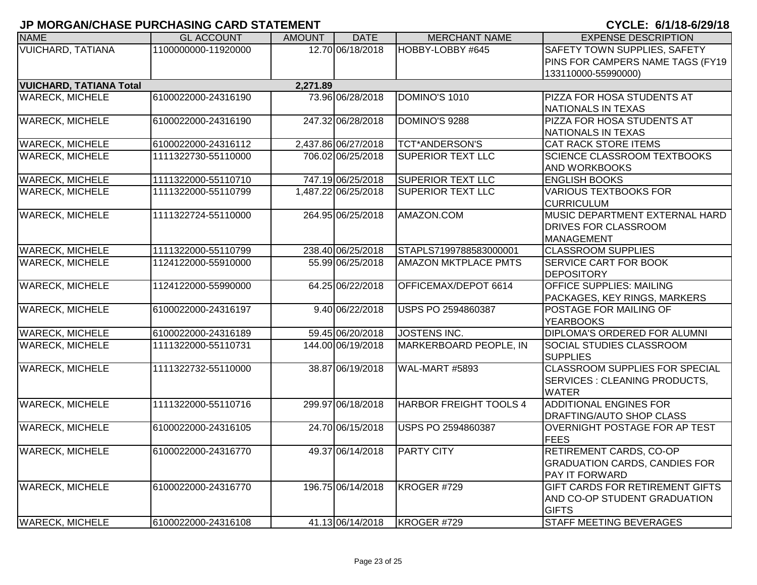| <b>NAME</b>                    | <b>GL ACCOUNT</b>   | <b>AMOUNT</b> | <b>DATE</b>         | <b>MERCHANT NAME</b>          | <b>EXPENSE DESCRIPTION</b>            |
|--------------------------------|---------------------|---------------|---------------------|-------------------------------|---------------------------------------|
| <b>VUICHARD, TATIANA</b>       | 1100000000-11920000 |               | 12.70 06/18/2018    | HOBBY-LOBBY #645              | SAFETY TOWN SUPPLIES, SAFETY          |
|                                |                     |               |                     |                               | PINS FOR CAMPERS NAME TAGS (FY19      |
|                                |                     |               |                     |                               | 133110000-55990000)                   |
| <b>VUICHARD, TATIANA Total</b> |                     | 2,271.89      |                     |                               |                                       |
| <b>WARECK, MICHELE</b>         | 6100022000-24316190 |               | 73.96 06/28/2018    | DOMINO'S 1010                 | PIZZA FOR HOSA STUDENTS AT            |
|                                |                     |               |                     |                               | NATIONALS IN TEXAS                    |
| <b>WARECK, MICHELE</b>         | 6100022000-24316190 |               | 247.32 06/28/2018   | DOMINO'S 9288                 | PIZZA FOR HOSA STUDENTS AT            |
|                                |                     |               |                     |                               | NATIONALS IN TEXAS                    |
| <b>WARECK, MICHELE</b>         | 6100022000-24316112 |               | 2,437.86 06/27/2018 | <b>TCT*ANDERSON'S</b>         | <b>CAT RACK STORE ITEMS</b>           |
| <b>WARECK, MICHELE</b>         | 1111322730-55110000 |               | 706.02 06/25/2018   | <b>SUPERIOR TEXT LLC</b>      | <b>SCIENCE CLASSROOM TEXTBOOKS</b>    |
|                                |                     |               |                     |                               | AND WORKBOOKS                         |
| <b>WARECK, MICHELE</b>         | 1111322000-55110710 |               | 747.19 06/25/2018   | <b>SUPERIOR TEXT LLC</b>      | <b>ENGLISH BOOKS</b>                  |
| <b>WARECK, MICHELE</b>         | 1111322000-55110799 |               | 1,487.22 06/25/2018 | <b>SUPERIOR TEXT LLC</b>      | <b>VARIOUS TEXTBOOKS FOR</b>          |
|                                |                     |               |                     |                               | <b>CURRICULUM</b>                     |
| <b>WARECK, MICHELE</b>         | 1111322724-55110000 |               | 264.95 06/25/2018   | AMAZON.COM                    | MUSIC DEPARTMENT EXTERNAL HARD        |
|                                |                     |               |                     |                               | <b>DRIVES FOR CLASSROOM</b>           |
|                                |                     |               |                     |                               | MANAGEMENT                            |
| <b>WARECK, MICHELE</b>         | 1111322000-55110799 |               | 238.40 06/25/2018   | STAPLS7199788583000001        | <b>CLASSROOM SUPPLIES</b>             |
| <b>WARECK, MICHELE</b>         | 1124122000-55910000 |               | 55.99 06/25/2018    | <b>AMAZON MKTPLACE PMTS</b>   | <b>SERVICE CART FOR BOOK</b>          |
|                                |                     |               |                     |                               | <b>DEPOSITORY</b>                     |
| <b>WARECK, MICHELE</b>         | 1124122000-55990000 |               | 64.25 06/22/2018    | OFFICEMAX/DEPOT 6614          | <b>OFFICE SUPPLIES: MAILING</b>       |
|                                |                     |               |                     |                               | PACKAGES, KEY RINGS, MARKERS          |
| <b>WARECK, MICHELE</b>         | 6100022000-24316197 |               | 9.40 06/22/2018     | USPS PO 2594860387            | <b>POSTAGE FOR MAILING OF</b>         |
|                                |                     |               |                     |                               | <b>YEARBOOKS</b>                      |
| <b>WARECK, MICHELE</b>         | 6100022000-24316189 |               | 59.45 06/20/2018    | <b>JOSTENS INC.</b>           | <b>DIPLOMA'S ORDERED FOR ALUMNI</b>   |
| <b>WARECK, MICHELE</b>         | 1111322000-55110731 |               | 144.00 06/19/2018   | MARKERBOARD PEOPLE, IN        | SOCIAL STUDIES CLASSROOM              |
|                                |                     |               |                     |                               | <b>SUPPLIES</b>                       |
| <b>WARECK, MICHELE</b>         | 1111322732-55110000 |               | 38.87 06/19/2018    | WAL-MART #5893                | <b>CLASSROOM SUPPLIES FOR SPECIAL</b> |
|                                |                     |               |                     |                               | SERVICES : CLEANING PRODUCTS,         |
|                                |                     |               |                     |                               | <b>WATER</b>                          |
| <b>WARECK, MICHELE</b>         | 1111322000-55110716 |               | 299.97 06/18/2018   | <b>HARBOR FREIGHT TOOLS 4</b> | <b>ADDITIONAL ENGINES FOR</b>         |
|                                |                     |               |                     |                               | DRAFTING/AUTO SHOP CLASS              |
| <b>WARECK, MICHELE</b>         | 6100022000-24316105 |               | 24.70 06/15/2018    | USPS PO 2594860387            | OVERNIGHT POSTAGE FOR AP TEST         |
|                                |                     |               |                     |                               | <b>FEES</b>                           |
| <b>WARECK, MICHELE</b>         | 6100022000-24316770 |               | 49.37 06/14/2018    | <b>PARTY CITY</b>             | RETIREMENT CARDS, CO-OP               |
|                                |                     |               |                     |                               | <b>GRADUATION CARDS, CANDIES FOR</b>  |
|                                |                     |               |                     |                               | <b>PAY IT FORWARD</b>                 |
| <b>WARECK, MICHELE</b>         | 6100022000-24316770 |               | 196.75 06/14/2018   | KROGER #729                   | GIFT CARDS FOR RETIREMENT GIFTS       |
|                                |                     |               |                     |                               | AND CO-OP STUDENT GRADUATION          |
|                                |                     |               |                     |                               | <b>GIFTS</b>                          |
| <b>WARECK, MICHELE</b>         | 6100022000-24316108 |               | 41.13 06/14/2018    | KROGER #729                   | <b>STAFF MEETING BEVERAGES</b>        |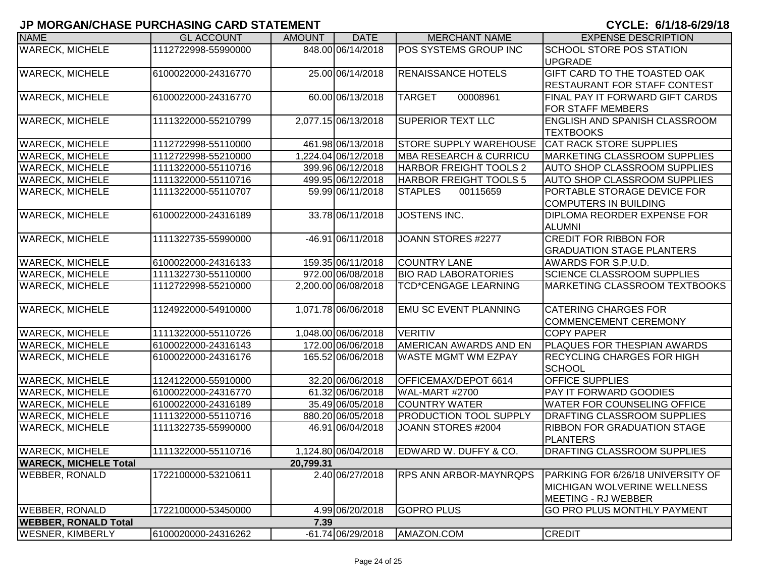| <b>NAME</b>                  | <b>GL ACCOUNT</b>   | <b>AMOUNT</b> | <b>DATE</b>         | <b>MERCHANT NAME</b>              | <b>EXPENSE DESCRIPTION</b>                  |
|------------------------------|---------------------|---------------|---------------------|-----------------------------------|---------------------------------------------|
| <b>WARECK, MICHELE</b>       | 1112722998-55990000 |               | 848.00 06/14/2018   | POS SYSTEMS GROUP INC             | <b>SCHOOL STORE POS STATION</b>             |
|                              |                     |               |                     |                                   | <b>UPGRADE</b>                              |
| <b>WARECK, MICHELE</b>       | 6100022000-24316770 |               | 25.00 06/14/2018    | <b>RENAISSANCE HOTELS</b>         | GIFT CARD TO THE TOASTED OAK                |
|                              |                     |               |                     |                                   | <b>RESTAURANT FOR STAFF CONTEST</b>         |
| <b>WARECK, MICHELE</b>       | 6100022000-24316770 |               | 60.00 06/13/2018    | <b>TARGET</b><br>00008961         | FINAL PAY IT FORWARD GIFT CARDS             |
|                              |                     |               |                     |                                   | <b>FOR STAFF MEMBERS</b>                    |
| <b>WARECK, MICHELE</b>       | 1111322000-55210799 |               | 2,077.15 06/13/2018 | <b>SUPERIOR TEXT LLC</b>          | <b>ENGLISH AND SPANISH CLASSROOM</b>        |
|                              |                     |               |                     |                                   | <b>TEXTBOOKS</b>                            |
| <b>WARECK, MICHELE</b>       | 1112722998-55110000 |               | 461.98 06/13/2018   | <b>STORE SUPPLY WAREHOUSE</b>     | <b>CAT RACK STORE SUPPLIES</b>              |
| <b>WARECK, MICHELE</b>       | 1112722998-55210000 |               | 1,224.04 06/12/2018 | <b>MBA RESEARCH &amp; CURRICU</b> | <b>MARKETING CLASSROOM SUPPLIES</b>         |
| <b>WARECK, MICHELE</b>       | 1111322000-55110716 |               | 399.96 06/12/2018   | HARBOR FREIGHT TOOLS 2            | <b>AUTO SHOP CLASSROOM SUPPLIES</b>         |
| <b>WARECK, MICHELE</b>       | 1111322000-55110716 |               | 499.95 06/12/2018   | <b>HARBOR FREIGHT TOOLS 5</b>     | <b>AUTO SHOP CLASSROOM SUPPLIES</b>         |
| <b>WARECK, MICHELE</b>       | 1111322000-55110707 |               | 59.99 06/11/2018    | <b>STAPLES</b><br>00115659        | PORTABLE STORAGE DEVICE FOR                 |
|                              |                     |               |                     |                                   | <b>COMPUTERS IN BUILDING</b>                |
| <b>WARECK, MICHELE</b>       | 6100022000-24316189 |               | 33.78 06/11/2018    | JOSTENS INC.                      | <b>DIPLOMA REORDER EXPENSE FOR</b>          |
|                              |                     |               |                     |                                   | <b>ALUMNI</b>                               |
| <b>WARECK, MICHELE</b>       | 1111322735-55990000 |               | -46.91 06/11/2018   | JOANN STORES #2277                | <b>CREDIT FOR RIBBON FOR</b>                |
|                              |                     |               |                     |                                   | <b>GRADUATION STAGE PLANTERS</b>            |
| <b>WARECK, MICHELE</b>       | 6100022000-24316133 |               | 159.35 06/11/2018   | <b>COUNTRY LANE</b>               | AWARDS FOR S.P.U.D.                         |
| <b>WARECK, MICHELE</b>       | 1111322730-55110000 |               | 972.00 06/08/2018   | <b>BIO RAD LABORATORIES</b>       | <b>SCIENCE CLASSROOM SUPPLIES</b>           |
| <b>WARECK, MICHELE</b>       | 1112722998-55210000 |               | 2,200.00 06/08/2018 | <b>TCD*CENGAGE LEARNING</b>       | <b>MARKETING CLASSROOM TEXTBOOKS</b>        |
|                              |                     |               |                     |                                   |                                             |
| <b>WARECK, MICHELE</b>       | 1124922000-54910000 |               | 1,071.78 06/06/2018 | <b>EMU SC EVENT PLANNING</b>      | <b>CATERING CHARGES FOR</b>                 |
|                              |                     |               |                     |                                   | <b>COMMENCEMENT CEREMONY</b>                |
| <b>WARECK, MICHELE</b>       | 1111322000-55110726 |               | 1,048.00 06/06/2018 | <b>VERITIV</b>                    | <b>COPY PAPER</b>                           |
| <b>WARECK, MICHELE</b>       | 6100022000-24316143 |               | 172.00 06/06/2018   | AMERICAN AWARDS AND EN            | <b>PLAQUES FOR THESPIAN AWARDS</b>          |
| <b>WARECK, MICHELE</b>       | 6100022000-24316176 |               | 165.52 06/06/2018   | <b>WASTE MGMT WM EZPAY</b>        | <b>RECYCLING CHARGES FOR HIGH</b><br>SCHOOL |
| <b>WARECK, MICHELE</b>       | 1124122000-55910000 |               | 32.20 06/06/2018    | OFFICEMAX/DEPOT 6614              | <b>OFFICE SUPPLIES</b>                      |
| <b>WARECK, MICHELE</b>       | 6100022000-24316770 |               | 61.32 06/06/2018    | WAL-MART #2700                    | <b>PAY IT FORWARD GOODIES</b>               |
| <b>WARECK, MICHELE</b>       | 6100022000-24316189 |               | 35.49 06/05/2018    | <b>COUNTRY WATER</b>              | <b>WATER FOR COUNSELING OFFICE</b>          |
| <b>WARECK, MICHELE</b>       | 1111322000-55110716 |               | 880.20 06/05/2018   | <b>PRODUCTION TOOL SUPPLY</b>     | <b>DRAFTING CLASSROOM SUPPLIES</b>          |
| <b>WARECK, MICHELE</b>       | 1111322735-55990000 |               | 46.91 06/04/2018    | JOANN STORES #2004                | <b>RIBBON FOR GRADUATION STAGE</b>          |
|                              |                     |               |                     |                                   | <b>PLANTERS</b>                             |
| <b>WARECK, MICHELE</b>       | 1111322000-55110716 |               | 1,124.80 06/04/2018 | EDWARD W. DUFFY & CO.             | <b>DRAFTING CLASSROOM SUPPLIES</b>          |
| <b>WARECK, MICHELE Total</b> |                     | 20,799.31     |                     |                                   |                                             |
| <b>WEBBER, RONALD</b>        | 1722100000-53210611 |               | 2.40 06/27/2018     | <b>RPS ANN ARBOR-MAYNRQPS</b>     | PARKING FOR 6/26/18 UNIVERSITY OF           |
|                              |                     |               |                     |                                   | <b>MICHIGAN WOLVERINE WELLNESS</b>          |
|                              |                     |               |                     |                                   | MEETING - RJ WEBBER                         |
| <b>WEBBER, RONALD</b>        | 1722100000-53450000 |               | 4.99 06/20/2018     | <b>GOPRO PLUS</b>                 | GO PRO PLUS MONTHLY PAYMENT                 |
| <b>WEBBER, RONALD Total</b>  |                     | 7.39          |                     |                                   |                                             |
| <b>WESNER, KIMBERLY</b>      | 6100020000-24316262 |               | -61.74 06/29/2018   | AMAZON.COM                        | <b>CREDIT</b>                               |